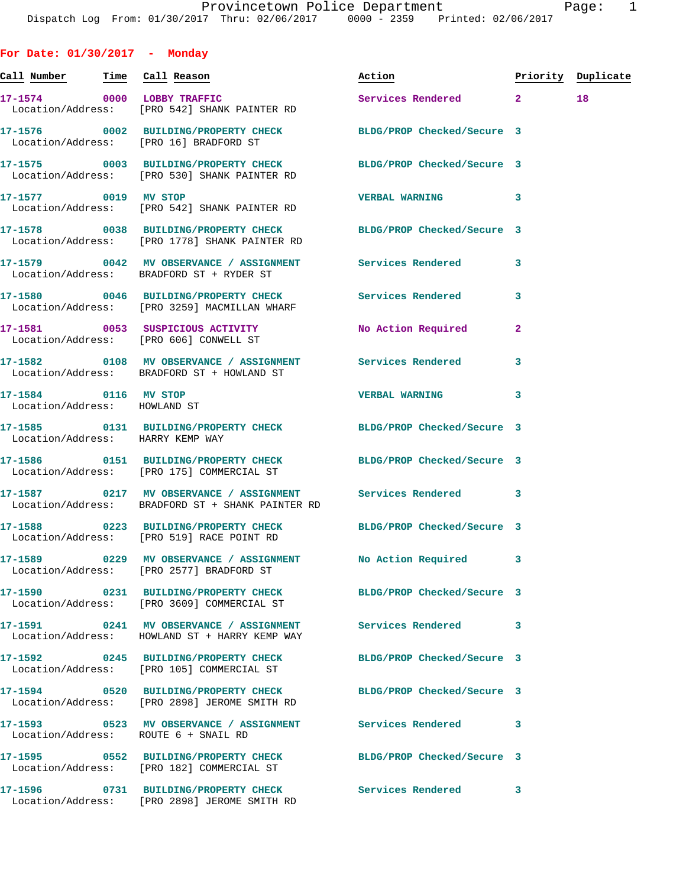**For Date: 01/30/2017 - Monday Call Number Time Call Reason Action Priority Duplicate 17-1574 0000 LOBBY TRAFFIC Services Rendered 2 18**  Location/Address: [PRO 542] SHANK PAINTER RD **17-1576 0002 BUILDING/PROPERTY CHECK BLDG/PROP Checked/Secure 3**  Location/Address: [PRO 16] BRADFORD ST **17-1575 0003 BUILDING/PROPERTY CHECK BLDG/PROP Checked/Secure 3**  Location/Address: [PRO 530] SHANK PAINTER RD **17-1577 0019 MV STOP VERBAL WARNING 3**  Location/Address: [PRO 542] SHANK PAINTER RD **17-1578 0038 BUILDING/PROPERTY CHECK BLDG/PROP Checked/Secure 3**  Location/Address: [PRO 1778] SHANK PAINTER RD **17-1579 0042 MV OBSERVANCE / ASSIGNMENT Services Rendered 3**  Location/Address: BRADFORD ST + RYDER ST **17-1580 0046 BUILDING/PROPERTY CHECK Services Rendered 3**  Location/Address: [PRO 3259] MACMILLAN WHARF **17-1581 0053 SUSPICIOUS ACTIVITY No Action Required 2**  Location/Address: [PRO 606] CONWELL ST **17-1582 0108 MV OBSERVANCE / ASSIGNMENT Services Rendered 3**  Location/Address: BRADFORD ST + HOWLAND ST **17-1584 0116 MV STOP VERBAL WARNING 3**  Location/Address: HOWLAND ST **17-1585 0131 BUILDING/PROPERTY CHECK BLDG/PROP Checked/Secure 3**  Location/Address: HARRY KEMP WAY **17-1586 0151 BUILDING/PROPERTY CHECK BLDG/PROP Checked/Secure 3**  Location/Address: [PRO 175] COMMERCIAL ST **17-1587 0217 MV OBSERVANCE / ASSIGNMENT Services Rendered 3**  Location/Address: BRADFORD ST + SHANK PAINTER RD **17-1588 0223 BUILDING/PROPERTY CHECK BLDG/PROP Checked/Secure 3**  Location/Address: [PRO 519] RACE POINT RD **17-1589 0229 MV OBSERVANCE / ASSIGNMENT No Action Required 3**  Location/Address: [PRO 2577] BRADFORD ST **17-1590 0231 BUILDING/PROPERTY CHECK BLDG/PROP Checked/Secure 3**  Location/Address: [PRO 3609] COMMERCIAL ST **17-1591 0241 MV OBSERVANCE / ASSIGNMENT Services Rendered 3**  Location/Address: HOWLAND ST + HARRY KEMP WAY **17-1592 0245 BUILDING/PROPERTY CHECK BLDG/PROP Checked/Secure 3**  Location/Address: [PRO 105] COMMERCIAL ST **17-1594 0520 BUILDING/PROPERTY CHECK BLDG/PROP Checked/Secure 3**  Location/Address: [PRO 2898] JEROME SMITH RD **17-1593 0523 MV OBSERVANCE / ASSIGNMENT Services Rendered 3**  Location/Address: ROUTE 6 + SNAIL RD

**17-1595 0552 BUILDING/PROPERTY CHECK BLDG/PROP Checked/Secure 3**  Location/Address: [PRO 182] COMMERCIAL ST

**17-1596 0731 BUILDING/PROPERTY CHECK Services Rendered 3**  Location/Address: [PRO 2898] JEROME SMITH RD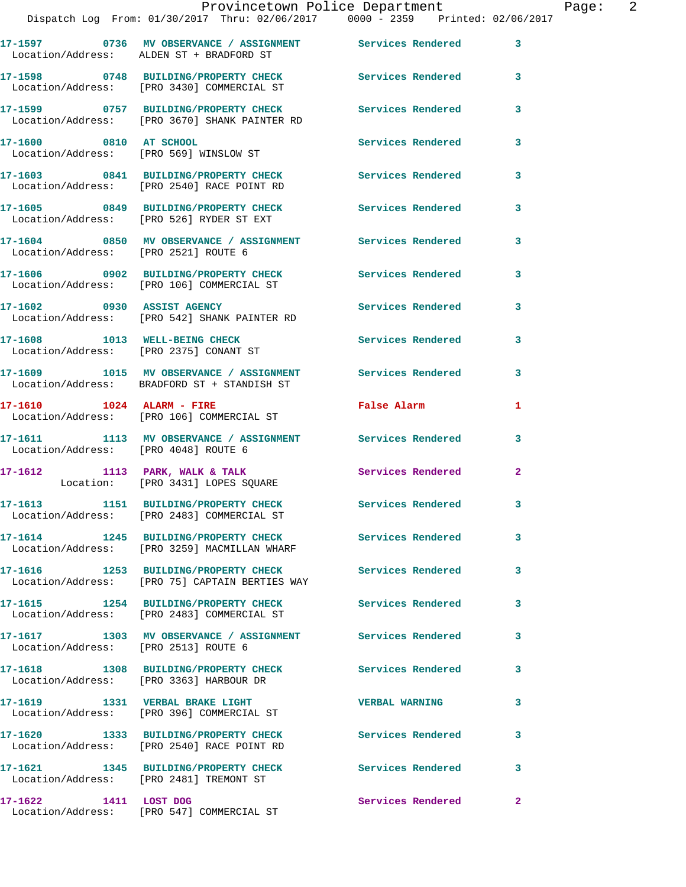|                                      | Dispatch Log From: 01/30/2017 Thru: 02/06/2017 0000 - 2359 Printed: 02/06/2017                           |                          |                |
|--------------------------------------|----------------------------------------------------------------------------------------------------------|--------------------------|----------------|
|                                      | 17-1597 6736 MV OBSERVANCE / ASSIGNMENT Services Rendered<br>Location/Address: ALDEN ST + BRADFORD ST    |                          | 3              |
|                                      | 17-1598 0748 BUILDING/PROPERTY CHECK Services Rendered<br>Location/Address: [PRO 3430] COMMERCIAL ST     |                          | 3              |
|                                      | 17-1599 0757 BUILDING/PROPERTY CHECK<br>Location/Address: [PRO 3670] SHANK PAINTER RD                    | <b>Services Rendered</b> | 3              |
| 17-1600 0810 AT SCHOOL               | Location/Address: [PRO 569] WINSLOW ST                                                                   | Services Rendered        | 3              |
|                                      | 17-1603 0841 BUILDING/PROPERTY CHECK<br>Location/Address: [PRO 2540] RACE POINT RD                       | <b>Services Rendered</b> | 3              |
|                                      | 17-1605 0849 BUILDING/PROPERTY CHECK<br>Location/Address: [PRO 526] RYDER ST EXT                         | <b>Services Rendered</b> | 3              |
| Location/Address: [PRO 2521] ROUTE 6 | 17-1604 0850 MV OBSERVANCE / ASSIGNMENT Services Rendered                                                |                          | 3              |
|                                      | 17-1606 0902 BUILDING/PROPERTY CHECK Services Rendered<br>Location/Address: [PRO 106] COMMERCIAL ST      |                          | 3              |
| 17-1602 0930 ASSIST AGENCY           | Location/Address: [PRO 542] SHANK PAINTER RD                                                             | <b>Services Rendered</b> | 3              |
|                                      | 17-1608 1013 WELL-BEING CHECK<br>Location/Address: [PRO 2375] CONANT ST                                  | <b>Services Rendered</b> | 3              |
|                                      | 17-1609 1015 MV OBSERVANCE / ASSIGNMENT Services Rendered<br>Location/Address: BRADFORD ST + STANDISH ST |                          | 3              |
|                                      | 17-1610 1024 ALARM - FIRE<br>Location/Address: [PRO 106] COMMERCIAL ST                                   | <b>False Alarm</b>       | 1              |
| Location/Address: [PRO 4048] ROUTE 6 | 17-1611 1113 MV OBSERVANCE / ASSIGNMENT Services Rendered                                                |                          | 3              |
|                                      | 17-1612 1113 PARK, WALK & TALK<br>Location: [PRO 3431] LOPES SQUARE                                      | Services Rendered        | $\overline{a}$ |
|                                      | 17-1613 1151 BUILDING/PROPERTY CHECK Services Rendered<br>Location/Address: [PRO 2483] COMMERCIAL ST     |                          | 3              |
|                                      | 17-1614 1245 BUILDING/PROPERTY CHECK<br>Location/Address: [PRO 3259] MACMILLAN WHARF                     | Services Rendered        | 3              |
|                                      | 17-1616 1253 BUILDING/PROPERTY CHECK Services Rendered<br>Location/Address: [PRO 75] CAPTAIN BERTIES WAY |                          | 3              |
|                                      | 17-1615 1254 BUILDING/PROPERTY CHECK Services Rendered<br>Location/Address: [PRO 2483] COMMERCIAL ST     |                          | 3              |
| Location/Address: [PRO 2513] ROUTE 6 | 17-1617 1303 MV OBSERVANCE / ASSIGNMENT Services Rendered                                                |                          | 3              |
|                                      | 17-1618 1308 BUILDING/PROPERTY CHECK Services Rendered<br>Location/Address: [PRO 3363] HARBOUR DR        |                          | 3.             |
|                                      | 17-1619 1331 VERBAL BRAKE LIGHT<br>Location/Address: [PRO 396] COMMERCIAL ST                             | <b>VERBAL WARNING</b>    | 3              |
|                                      | 17-1620 1333 BUILDING/PROPERTY CHECK<br>Location/Address: [PRO 2540] RACE POINT RD                       | Services Rendered        | 3              |
|                                      | 17-1621 1345 BUILDING/PROPERTY CHECK<br>Location/Address: [PRO 2481] TREMONT ST                          | <b>Services Rendered</b> | 3              |
| 17-1622 1411 LOST DOG                | Location/Address: [PRO 547] COMMERCIAL ST                                                                | Services Rendered        | $\mathbf{2}$   |
|                                      |                                                                                                          |                          |                |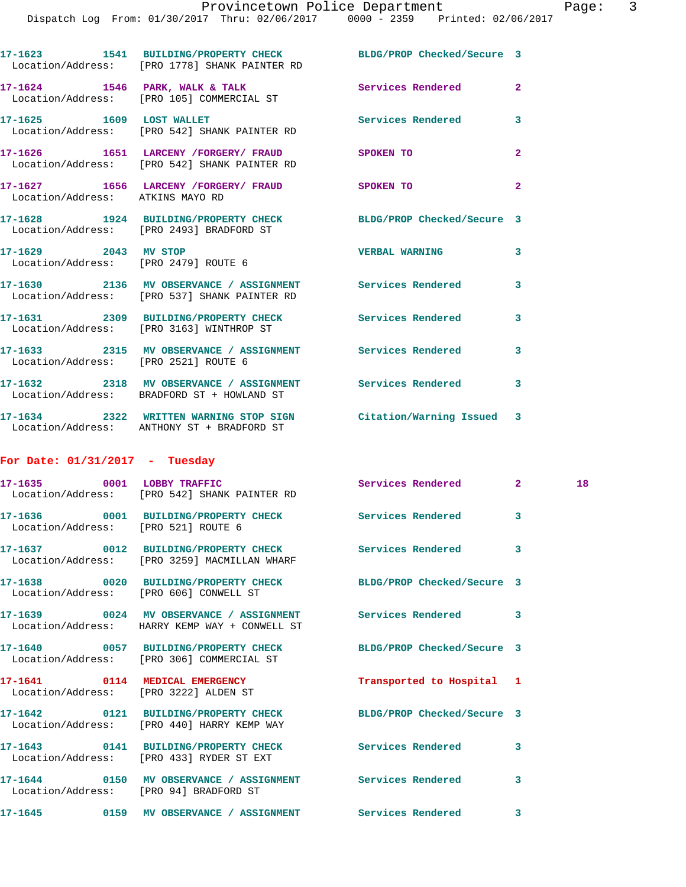Dispatch Log From: 01/30/2017 Thru: 02/06/2017 0000 - 2359 Printed: 02/06/2017 **17-1623 1541 BUILDING/PROPERTY CHECK BLDG/PROP Checked/Secure 3**  Location/Address: [PRO 1778] SHANK PAINTER RD **17-1624 1546 PARK, WALK & TALK Services Rendered 2**  Location/Address: [PRO 105] COMMERCIAL ST **17-1625 1609 LOST WALLET Services Rendered 3**  Location/Address: [PRO 542] SHANK PAINTER RD **17-1626 1651 LARCENY /FORGERY/ FRAUD SPOKEN TO 2**  Location/Address: [PRO 542] SHANK PAINTER RD **17-1627 1656 LARCENY /FORGERY/ FRAUD SPOKEN TO 2**  Location/Address: ATKINS MAYO RD **17-1628 1924 BUILDING/PROPERTY CHECK BLDG/PROP Checked/Secure 3**  Location/Address: [PRO 2493] BRADFORD ST **17-1629 2043 MV STOP VERBAL WARNING 3**  Location/Address: [PRO 2479] ROUTE 6 **17-1630 2136 MV OBSERVANCE / ASSIGNMENT Services Rendered 3**  Location/Address: [PRO 537] SHANK PAINTER RD **17-1631 2309 BUILDING/PROPERTY CHECK Services Rendered 3**  Location/Address: [PRO 3163] WINTHROP ST **17-1633 2315 MV OBSERVANCE / ASSIGNMENT Services Rendered 3**  Location/Address: [PRO 2521] ROUTE 6 **17-1632 2318 MV OBSERVANCE / ASSIGNMENT Services Rendered 3**  Location/Address: BRADFORD ST + HOWLAND ST **17-1634 2322 WRITTEN WARNING STOP SIGN Citation/Warning Issued 3**  Location/Address: ANTHONY ST + BRADFORD ST **For Date: 01/31/2017 - Tuesday 17-1635 0001 LOBBY TRAFFIC Services Rendered 2 18**  Location/Address: [PRO 542] SHANK PAINTER RD **17-1636 0001 BUILDING/PROPERTY CHECK Services Rendered 3**  Location/Address: [PRO 521] ROUTE 6 **17-1637 0012 BUILDING/PROPERTY CHECK Services Rendered 3**  Location/Address: [PRO 3259] MACMILLAN WHARF **17-1638 0020 BUILDING/PROPERTY CHECK BLDG/PROP Checked/Secure 3**  Location/Address: [PRO 606] CONWELL ST **17-1639 0024 MV OBSERVANCE / ASSIGNMENT Services Rendered 3**  Location/Address: HARRY KEMP WAY + CONWELL ST **17-1640 0057 BUILDING/PROPERTY CHECK BLDG/PROP Checked/Secure 3**  Location/Address: [PRO 306] COMMERCIAL ST

**17-1641 0114 MEDICAL EMERGENCY Transported to Hospital 1**  Location/Address: [PRO 3222] ALDEN ST **17-1642 0121 BUILDING/PROPERTY CHECK BLDG/PROP Checked/Secure 3**  Location/Address: [PRO 440] HARRY KEMP WAY **17-1643 0141 BUILDING/PROPERTY CHECK Services Rendered 3**  Location/Address: [PRO 433] RYDER ST EXT **17-1644 0150 MV OBSERVANCE / ASSIGNMENT Services Rendered 3**  Location/Address: [PRO 94] BRADFORD ST **17-1645 0159 MV OBSERVANCE / ASSIGNMENT Services Rendered 3**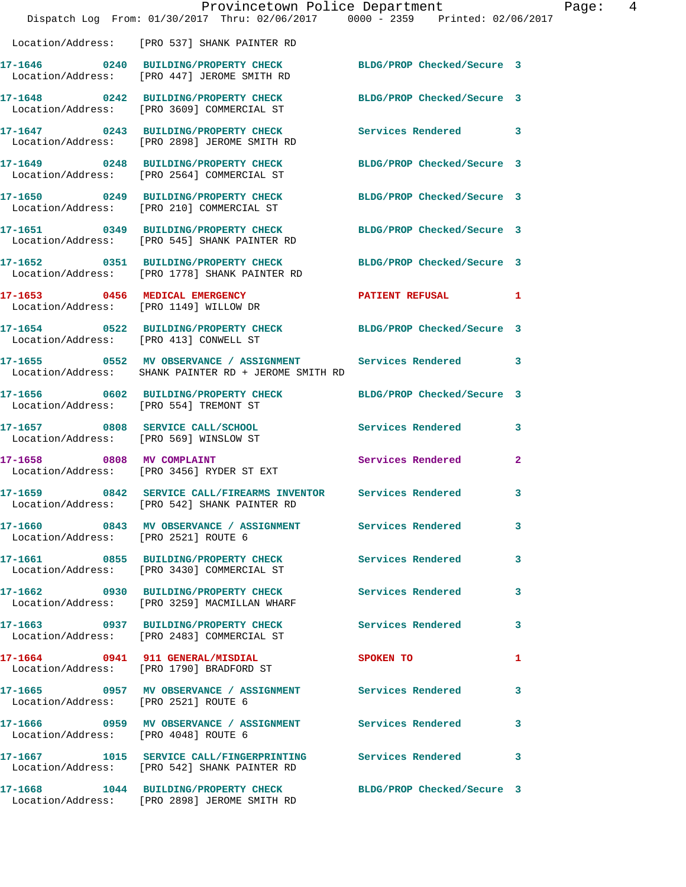|                                        | Dispatch Log From: 01/30/2017 Thru: 02/06/2017 0000 - 2359 Printed: 02/06/2017                                      | Provincetown Police Department | Page: 4      |  |
|----------------------------------------|---------------------------------------------------------------------------------------------------------------------|--------------------------------|--------------|--|
|                                        | Location/Address: [PRO 537] SHANK PAINTER RD                                                                        |                                |              |  |
|                                        |                                                                                                                     |                                |              |  |
|                                        | 17-1646 0240 BUILDING/PROPERTY CHECK<br>Location/Address: [PRO 447] JEROME SMITH RD                                 | BLDG/PROP Checked/Secure 3     |              |  |
|                                        | 17-1648 0242 BUILDING/PROPERTY CHECK<br>Location/Address: [PRO 3609] COMMERCIAL ST                                  | BLDG/PROP Checked/Secure 3     |              |  |
|                                        | 17-1647 0243 BUILDING/PROPERTY CHECK Services Rendered 3<br>Location/Address: [PRO 2898] JEROME SMITH RD            |                                |              |  |
|                                        | 17-1649 0248 BUILDING/PROPERTY CHECK<br>Location/Address: [PRO 2564] COMMERCIAL ST                                  | BLDG/PROP Checked/Secure 3     |              |  |
|                                        | 17-1650 0249 BUILDING/PROPERTY CHECK BLDG/PROP Checked/Secure 3<br>Location/Address: [PRO 210] COMMERCIAL ST        |                                |              |  |
|                                        | 17-1651 0349 BUILDING/PROPERTY CHECK<br>Location/Address: [PRO 545] SHANK PAINTER RD                                | BLDG/PROP Checked/Secure 3     |              |  |
|                                        | 17-1652 0351 BUILDING/PROPERTY CHECK<br>Location/Address: [PRO 1778] SHANK PAINTER RD                               | BLDG/PROP Checked/Secure 3     |              |  |
|                                        | 17-1653 0456 MEDICAL EMERGENCY<br>Location/Address: [PRO 1149] WILLOW DR                                            | PATIENT REFUSAL 1              |              |  |
| Location/Address: [PRO 413] CONWELL ST | 17-1654 0522 BUILDING/PROPERTY CHECK                                                                                | BLDG/PROP Checked/Secure 3     |              |  |
|                                        | 17-1655 6552 MV OBSERVANCE / ASSIGNMENT Services Rendered 3<br>Location/Address: SHANK PAINTER RD + JEROME SMITH RD |                                |              |  |
| Location/Address: [PRO 554] TREMONT ST | 17-1656 0602 BUILDING/PROPERTY CHECK                                                                                | BLDG/PROP Checked/Secure 3     |              |  |
| Location/Address: [PRO 569] WINSLOW ST | 17-1657 0808 SERVICE CALL/SCHOOL                                                                                    | Services Rendered 3            |              |  |
| 17-1658 0808 MV COMPLAINT              | Location/Address: [PRO 3456] RYDER ST EXT                                                                           | Services Rendered              | $\mathbf{2}$ |  |
|                                        | 17-1659 0842 SERVICE CALL/FIREARMS INVENTOR Services Rendered<br>Location/Address: [PRO 542] SHANK PAINTER RD       |                                | $\mathbf{3}$ |  |
| Location/Address: [PRO 2521] ROUTE 6   | 17-1660 0843 MV OBSERVANCE / ASSIGNMENT Services Rendered 3                                                         |                                |              |  |
|                                        | 17-1661 0855 BUILDING/PROPERTY CHECK Services Rendered<br>Location/Address: [PRO 3430] COMMERCIAL ST                |                                | 3            |  |
|                                        | 17-1662 0930 BUILDING/PROPERTY CHECK Services Rendered 3<br>Location/Address: [PRO 3259] MACMILLAN WHARF            |                                |              |  |
|                                        | 17-1663 0937 BUILDING/PROPERTY CHECK Services Rendered 3<br>Location/Address: [PRO 2483] COMMERCIAL ST              |                                |              |  |
|                                        | 17-1664 0941 911 GENERAL/MISDIAL<br>Location/Address: [PRO 1790] BRADFORD ST                                        | <b>SPOKEN TO</b>               | 1            |  |
| Location/Address: [PRO 2521] ROUTE 6   | 17-1665 0957 MV OBSERVANCE / ASSIGNMENT Services Rendered                                                           |                                | $\mathbf{3}$ |  |
|                                        | 17-1666 6 0959 MV OBSERVANCE / ASSIGNMENT Services Rendered<br>Location/Address: [PRO 4048] ROUTE 6                 |                                | $\mathbf{3}$ |  |
|                                        | 17-1667 1015 SERVICE CALL/FINGERPRINTING Services Rendered 3<br>Location/Address: [PRO 542] SHANK PAINTER RD        |                                |              |  |
|                                        | 17-1668 1044 BUILDING/PROPERTY CHECK<br>Location/Address: [PRO 2898] JEROME SMITH RD                                | BLDG/PROP Checked/Secure 3     |              |  |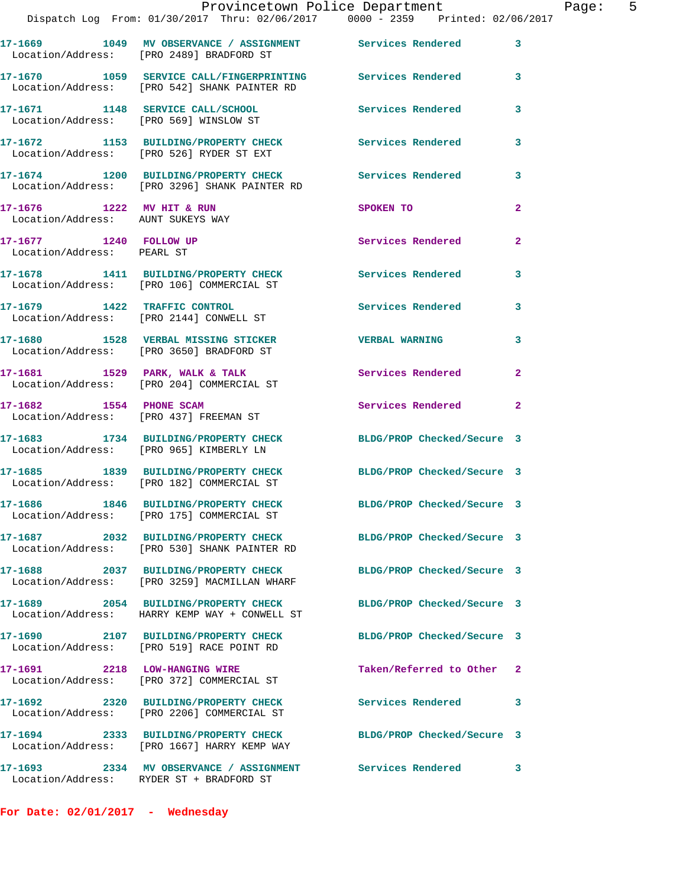|                                                                  | Provincetown Police Department<br>Dispatch Log From: 01/30/2017 Thru: 02/06/2017 0000 - 2359 Printed: 02/06/2017 |                            |                |
|------------------------------------------------------------------|------------------------------------------------------------------------------------------------------------------|----------------------------|----------------|
|                                                                  |                                                                                                                  |                            |                |
|                                                                  | 17-1669 1049 MV OBSERVANCE / ASSIGNMENT Services Rendered<br>Location/Address: [PRO 2489] BRADFORD ST            |                            | 3              |
|                                                                  | 17-1670 1059 SERVICE CALL/FINGERPRINTING Services Rendered<br>Location/Address: [PRO 542] SHANK PAINTER RD       |                            | 3              |
|                                                                  | 17-1671 1148 SERVICE CALL/SCHOOL<br>Location/Address: [PRO 569] WINSLOW ST                                       | <b>Services Rendered</b>   | 3              |
|                                                                  | 17-1672 1153 BUILDING/PROPERTY CHECK<br>Location/Address: [PRO 526] RYDER ST EXT                                 | Services Rendered          | 3              |
|                                                                  | 17-1674 1200 BUILDING/PROPERTY CHECK Services Rendered<br>Location/Address: [PRO 3296] SHANK PAINTER RD          |                            | 3              |
| $17-1676$ 1222 MV HIT & RUN<br>Location/Address: AUNT SUKEYS WAY |                                                                                                                  | SPOKEN TO                  | 2              |
| 17-1677 1240 FOLLOW UP<br>Location/Address: PEARL ST             |                                                                                                                  | Services Rendered          | $\overline{a}$ |
|                                                                  | 17-1678 1411 BUILDING/PROPERTY CHECK Services Rendered<br>Location/Address: [PRO 106] COMMERCIAL ST              |                            | 3              |
|                                                                  | 17-1679 1422 TRAFFIC CONTROL<br>Location/Address: [PRO 2144] CONWELL ST                                          | <b>Services Rendered</b>   | 3              |
|                                                                  | 17-1680 1528 VERBAL MISSING STICKER<br>Location/Address: [PRO 3650] BRADFORD ST                                  | <b>VERBAL WARNING</b>      | 3              |
|                                                                  | 17-1681 1529 PARK, WALK & TALK<br>Location/Address: [PRO 204] COMMERCIAL ST                                      | Services Rendered          | $\mathbf{2}$   |
|                                                                  | 17-1682 1554 PHONE SCAM<br>Location/Address: [PRO 437] FREEMAN ST                                                | Services Rendered          | $\mathbf{2}$   |
|                                                                  | 17-1683 1734 BUILDING/PROPERTY CHECK BLDG/PROP Checked/Secure 3<br>Location/Address: [PRO 965] KIMBERLY LN       |                            |                |
|                                                                  | 17-1685 1839 BUILDING/PROPERTY CHECK<br>Location/Address: [PRO 182] COMMERCIAL ST                                | BLDG/PROP Checked/Secure 3 |                |
|                                                                  | 17-1686 1846 BUILDING/PROPERTY CHECK<br>Location/Address: [PRO 175] COMMERCIAL ST                                | BLDG/PROP Checked/Secure 3 |                |
|                                                                  | 17-1687 2032 BUILDING/PROPERTY CHECK<br>Location/Address: [PRO 530] SHANK PAINTER RD                             | BLDG/PROP Checked/Secure 3 |                |
|                                                                  | 17-1688 2037 BUILDING/PROPERTY CHECK<br>Location/Address: [PRO 3259] MACMILLAN WHARF                             | BLDG/PROP Checked/Secure 3 |                |
|                                                                  | 17-1689 2054 BUILDING/PROPERTY CHECK<br>Location/Address: HARRY KEMP WAY + CONWELL ST                            | BLDG/PROP Checked/Secure 3 |                |
|                                                                  | 17-1690 2107 BUILDING/PROPERTY CHECK<br>Location/Address: [PRO 519] RACE POINT RD                                | BLDG/PROP Checked/Secure 3 |                |
|                                                                  | 17-1691 2218 LOW-HANGING WIRE<br>Location/Address: [PRO 372] COMMERCIAL ST                                       | Taken/Referred to Other    | $\mathbf{2}$   |
| 17-1692                                                          | 2320 BUILDING/PROPERTY CHECK<br>Location/Address: [PRO 2206] COMMERCIAL ST                                       | <b>Services Rendered</b>   | 3              |
|                                                                  | 17-1694 2333 BUILDING/PROPERTY CHECK<br>Location/Address: [PRO 1667] HARRY KEMP WAY                              | BLDG/PROP Checked/Secure 3 |                |
|                                                                  | 17-1693 2334 MV OBSERVANCE / ASSIGNMENT Services Rendered<br>Location/Address: RYDER ST + BRADFORD ST            |                            | 3              |

**For Date: 02/01/2017 - Wednesday**

Page: 5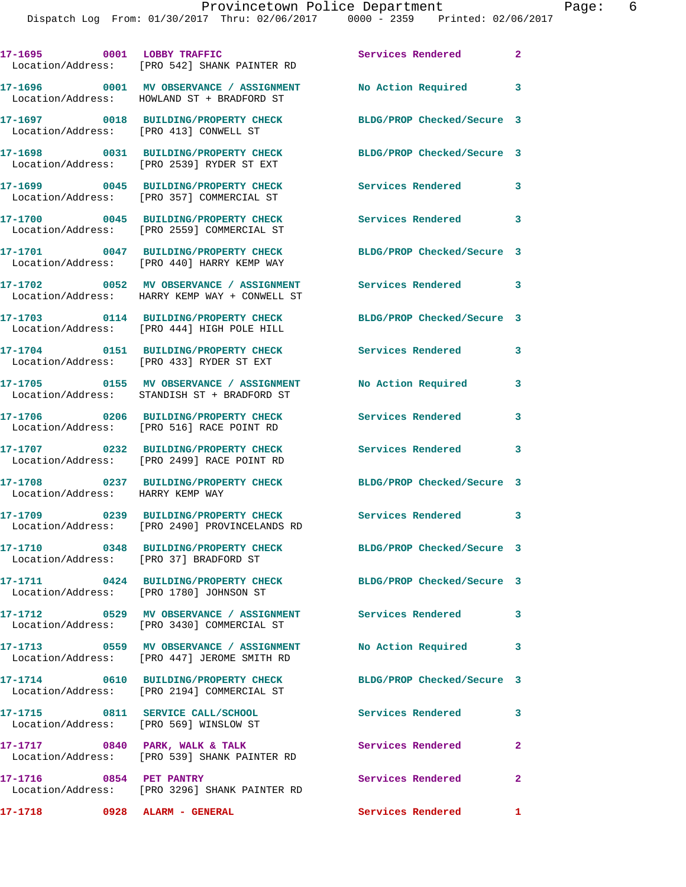|                                         | 17-1695 0001 LOBBY TRAFFIC<br>Location/Address: [PRO 542] SHANK PAINTER RD                              | Services Rendered          | $\mathbf{2}$ |
|-----------------------------------------|---------------------------------------------------------------------------------------------------------|----------------------------|--------------|
|                                         | 17-1696 0001 MV OBSERVANCE / ASSIGNMENT<br>Location/Address: HOWLAND ST + BRADFORD ST                   | No Action Required 3       |              |
| Location/Address: [PRO 413] CONWELL ST  | 17-1697 0018 BUILDING/PROPERTY CHECK                                                                    | BLDG/PROP Checked/Secure 3 |              |
|                                         | 17-1698 0031 BUILDING/PROPERTY CHECK<br>Location/Address: [PRO 2539] RYDER ST EXT                       | BLDG/PROP Checked/Secure 3 |              |
|                                         | 17-1699 0045 BUILDING/PROPERTY CHECK<br>Location/Address: [PRO 357] COMMERCIAL ST                       | Services Rendered          | 3            |
|                                         | 17-1700 0045 BUILDING/PROPERTY CHECK<br>Location/Address: [PRO 2559] COMMERCIAL ST                      | <b>Services Rendered</b>   | 3            |
|                                         | 17-1701 0047 BUILDING/PROPERTY CHECK<br>Location/Address: [PRO 440] HARRY KEMP WAY                      | BLDG/PROP Checked/Secure 3 |              |
|                                         | 17-1702 0052 MV OBSERVANCE / ASSIGNMENT<br>Location/Address: HARRY KEMP WAY + CONWELL ST                | <b>Services Rendered</b> 3 |              |
|                                         | 17-1703 0114 BUILDING/PROPERTY CHECK<br>Location/Address: [PRO 444] HIGH POLE HILL                      | BLDG/PROP Checked/Secure 3 |              |
|                                         | 17-1704 0151 BUILDING/PROPERTY CHECK<br>Location/Address: [PRO 433] RYDER ST EXT                        | <b>Services Rendered</b>   | 3            |
|                                         | 17-1705 0155 MV OBSERVANCE / ASSIGNMENT<br>Location/Address: STANDISH ST + BRADFORD ST                  | No Action Required         | $\mathbf{3}$ |
|                                         | 17-1706 0206 BUILDING/PROPERTY CHECK<br>Location/Address: [PRO 516] RACE POINT RD                       | <b>Services Rendered</b>   | 3            |
|                                         | 17-1707 0232 BUILDING/PROPERTY CHECK<br>Location/Address: [PRO 2499] RACE POINT RD                      | <b>Services Rendered</b>   | 3            |
|                                         | 17-1708 0237 BUILDING/PROPERTY CHECK<br>Location/Address: HARRY KEMP WAY                                | BLDG/PROP Checked/Secure 3 |              |
|                                         | 17-1709 0239 BUILDING/PROPERTY CHECK<br>Location/Address: [PRO 2490] PROVINCELANDS RD                   | Services Rendered          | 3            |
| Location/Address: [PRO 37] BRADFORD ST  | 17-1710 0348 BUILDING/PROPERTY CHECK                                                                    | BLDG/PROP Checked/Secure 3 |              |
| Location/Address: [PRO 1780] JOHNSON ST | 17-1711 0424 BUILDING/PROPERTY CHECK                                                                    | BLDG/PROP Checked/Secure 3 |              |
|                                         | 17-1712 0529 MV OBSERVANCE / ASSIGNMENT Services Rendered<br>Location/Address: [PRO 3430] COMMERCIAL ST |                            | $\mathbf{3}$ |
|                                         | 17-1713 0559 MV OBSERVANCE / ASSIGNMENT<br>Location/Address: [PRO 447] JEROME SMITH RD                  | No Action Required 3       |              |
|                                         | 17-1714 0610 BUILDING/PROPERTY CHECK<br>Location/Address: [PRO 2194] COMMERCIAL ST                      | BLDG/PROP Checked/Secure 3 |              |
| Location/Address: [PRO 569] WINSLOW ST  | 17-1715 0811 SERVICE CALL/SCHOOL                                                                        | Services Rendered 3        |              |
|                                         | 17-1717 0840 PARK, WALK & TALK<br>Location/Address: [PRO 539] SHANK PAINTER RD                          | <b>Services Rendered</b>   | $\mathbf{2}$ |
| 17-1716 0854 PET PANTRY                 | Location/Address: [PRO 3296] SHANK PAINTER RD                                                           | Services Rendered 2        |              |
| 17-1718 0928 ALARM - GENERAL            |                                                                                                         | Services Rendered          | $\mathbf{1}$ |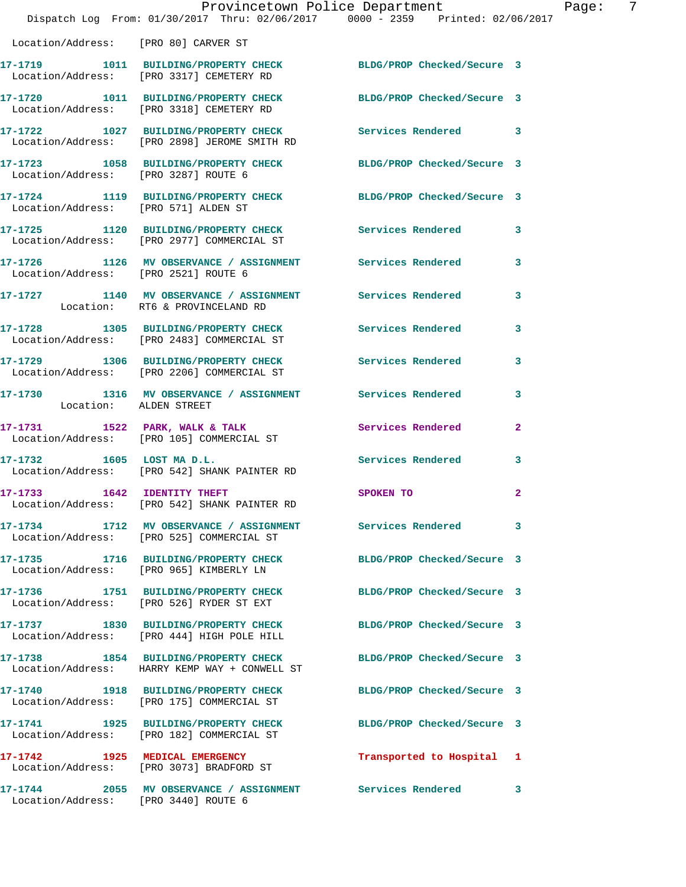|                                      | Dispatch Log From: 01/30/2017 Thru: 02/06/2017 0000 - 2359 Printed: 02/06/2017                                   | Provincetown Police Department | Page: 7        |
|--------------------------------------|------------------------------------------------------------------------------------------------------------------|--------------------------------|----------------|
| Location/Address: [PRO 80] CARVER ST |                                                                                                                  |                                |                |
|                                      | 17-1719 1011 BUILDING/PROPERTY CHECK<br>Location/Address: [PRO 3317] CEMETERY RD                                 | BLDG/PROP Checked/Secure 3     |                |
|                                      | 17-1720 1011 BUILDING/PROPERTY CHECK BLDG/PROP Checked/Secure 3<br>Location/Address: [PRO 3318] CEMETERY RD      |                                |                |
|                                      | 17-1722 1027 BUILDING/PROPERTY CHECK Services Rendered 3<br>Location/Address: [PRO 2898] JEROME SMITH RD         |                                |                |
| Location/Address: [PRO 3287] ROUTE 6 | 17-1723 1058 BUILDING/PROPERTY CHECK BLDG/PROP Checked/Secure 3                                                  |                                |                |
| Location/Address: [PRO 571] ALDEN ST | 17-1724 1119 BUILDING/PROPERTY CHECK BLDG/PROP Checked/Secure 3                                                  |                                |                |
|                                      | 17-1725 1120 BUILDING/PROPERTY CHECK Services Rendered<br>Location/Address: [PRO 2977] COMMERCIAL ST             |                                | 3              |
| Location/Address: [PRO 2521] ROUTE 6 | 17-1726 1126 MV OBSERVANCE / ASSIGNMENT Services Rendered 3                                                      |                                |                |
|                                      | 17-1727 1140 MV OBSERVANCE / ASSIGNMENT Services Rendered<br>Location: RT6 & PROVINCELAND RD                     |                                | 3              |
|                                      | 17-1728 1305 BUILDING/PROPERTY CHECK Services Rendered<br>Location/Address: [PRO 2483] COMMERCIAL ST             |                                | 3              |
|                                      | 17-1729 1306 BUILDING/PROPERTY CHECK<br>Location/Address: [PRO 2206] COMMERCIAL ST                               | Services Rendered              | 3              |
| Location: ALDEN STREET               | 17-1730 1316 MV OBSERVANCE / ASSIGNMENT Services Rendered                                                        |                                | 3              |
|                                      | 17-1731 1522 PARK, WALK & TALK 1988 Services Rendered<br>Location/Address: [PRO 105] COMMERCIAL ST               |                                | $\overline{a}$ |
|                                      | 17-1732 1605 LOST MA D.L.<br>Location/Address: [PRO 542] SHANK PAINTER RD                                        | <b>Services Rendered</b>       | 3              |
| 17-1733 1642 IDENTITY THEFT          | Location/Address: [PRO 542] SHANK PAINTER RD                                                                     | SPOKEN TO                      | $\mathbf{2}$   |
|                                      | 17-1734 1712 MV OBSERVANCE / ASSIGNMENT Services Rendered<br>Location/Address: [PRO 525] COMMERCIAL ST           |                                | 3              |
|                                      | 17-1735 1716 BUILDING/PROPERTY CHECK<br>Location/Address: [PRO 965] KIMBERLY LN                                  | BLDG/PROP Checked/Secure 3     |                |
|                                      | 17-1736 1751 BUILDING/PROPERTY CHECK BLDG/PROP Checked/Secure 3<br>Location/Address: [PRO 526] RYDER ST EXT      |                                |                |
|                                      | 17-1737 1830 BUILDING/PROPERTY CHECK<br>Location/Address: [PRO 444] HIGH POLE HILL                               | BLDG/PROP Checked/Secure 3     |                |
|                                      | 17-1738 1854 BUILDING/PROPERTY CHECK BLDG/PROP Checked/Secure 3<br>Location/Address: HARRY KEMP WAY + CONWELL ST |                                |                |
|                                      |                                                                                                                  | BLDG/PROP Checked/Secure 3     |                |
|                                      | 17-1741 1925 BUILDING/PROPERTY CHECK<br>Location/Address: [PRO 182] COMMERCIAL ST                                | BLDG/PROP Checked/Secure 3     |                |
|                                      | 17-1742 1925 MEDICAL EMERGENCY<br>Location/Address: [PRO 3073] BRADFORD ST                                       | Transported to Hospital 1      |                |
| Location/Address: [PRO 3440] ROUTE 6 | 17-1744 2055 MV OBSERVANCE / ASSIGNMENT Services Rendered                                                        |                                | 3              |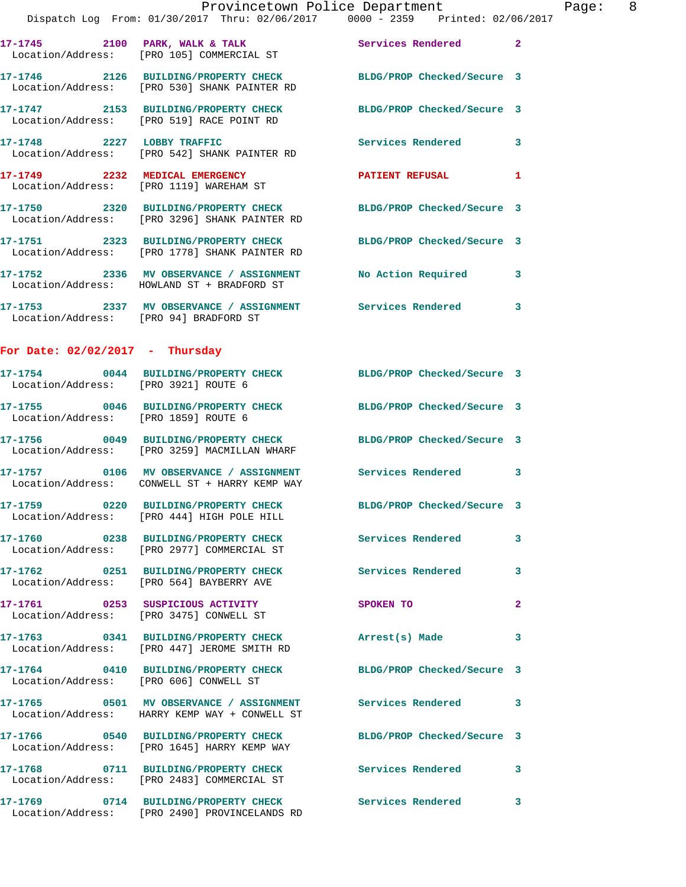|                                        | Provincetown Police Department<br>Dispatch Log From: 01/30/2017 Thru: 02/06/2017 0000 - 2359 Printed: 02/06/2017 |                            |              |
|----------------------------------------|------------------------------------------------------------------------------------------------------------------|----------------------------|--------------|
|                                        | 17-1745 2100 PARK, WALK & TALK Services Rendered<br>Location/Address: [PRO 105] COMMERCIAL ST                    |                            | $\mathbf{2}$ |
|                                        | 17-1746 2126 BUILDING/PROPERTY CHECK BLDG/PROP Checked/Secure 3<br>Location/Address: [PRO 530] SHANK PAINTER RD  |                            |              |
|                                        | 17-1747 2153 BUILDING/PROPERTY CHECK BLDG/PROP Checked/Secure 3<br>Location/Address: [PRO 519] RACE POINT RD     |                            |              |
| 17-1748 2227 LOBBY TRAFFIC             | Location/Address: [PRO 542] SHANK PAINTER RD                                                                     | Services Rendered          | 3            |
|                                        | 17-1749 2232 MEDICAL EMERGENCY<br>Location/Address: [PRO 1119] WAREHAM ST                                        | <b>PATIENT REFUSAL</b>     | 1            |
|                                        | 17-1750 2320 BUILDING/PROPERTY CHECK BLDG/PROP Checked/Secure 3<br>Location/Address: [PRO 3296] SHANK PAINTER RD |                            |              |
|                                        |                                                                                                                  | BLDG/PROP Checked/Secure 3 |              |
|                                        | 17-1752 2336 MV OBSERVANCE / ASSIGNMENT<br>Location/Address: HOWLAND ST + BRADFORD ST                            | <b>No Action Required</b>  | 3            |
| Location/Address: [PRO 94] BRADFORD ST | 17-1753 2337 MV OBSERVANCE / ASSIGNMENT Services Rendered                                                        |                            | 3            |
| For Date: $02/02/2017$ - Thursday      |                                                                                                                  |                            |              |
| Location/Address: [PRO 3921] ROUTE 6   | 17-1754 0044 BUILDING/PROPERTY CHECK BLDG/PROP Checked/Secure 3                                                  |                            |              |
| Location/Address: [PRO 1859] ROUTE 6   | 17-1755 0046 BUILDING/PROPERTY CHECK BLDG/PROP Checked/Secure 3                                                  |                            |              |
|                                        | 17-1756 0049 BUILDING/PROPERTY CHECK BLDG/PROP Checked/Secure 3<br>Location/Address: [PRO 3259] MACMILLAN WHARF  |                            |              |
|                                        | 17-1757 0106 MV OBSERVANCE / ASSIGNMENT Services Rendered<br>Location/Address: CONWELL ST + HARRY KEMP WAY       |                            | 3            |
|                                        | 17-1759 0220 BUILDING/PROPERTY CHECK<br>Location/Address: [PRO 444] HIGH POLE HILL                               | BLDG/PROP Checked/Secure 3 |              |
|                                        | 17-1760 0238 BUILDING/PROPERTY CHECK Services Rendered<br>Location/Address: [PRO 2977] COMMERCIAL ST             |                            | 3            |
|                                        | 17-1762 0251 BUILDING/PROPERTY CHECK<br>Location/Address: [PRO 564] BAYBERRY AVE                                 | <b>Services Rendered</b>   | 3            |
|                                        | 17-1761 0253 SUSPICIOUS ACTIVITY<br>Location/Address: [PRO 3475] CONWELL ST                                      | SPOKEN TO                  | $\mathbf{2}$ |
|                                        | 17-1763 0341 BUILDING/PROPERTY CHECK<br>Location/Address: [PRO 447] JEROME SMITH RD                              | Arrest(s) Made             | 3            |
| Location/Address: [PRO 606] CONWELL ST | 17-1764 0410 BUILDING/PROPERTY CHECK                                                                             | BLDG/PROP Checked/Secure 3 |              |
|                                        | 17-1765 6501 MV OBSERVANCE / ASSIGNMENT Services Rendered<br>Location/Address: HARRY KEMP WAY + CONWELL ST       |                            | 3            |
|                                        | 17-1766 0540 BUILDING/PROPERTY CHECK<br>Location/Address: [PRO 1645] HARRY KEMP WAY                              | BLDG/PROP Checked/Secure 3 |              |
|                                        | 17-1768 0711 BUILDING/PROPERTY CHECK<br>Location/Address: [PRO 2483] COMMERCIAL ST                               | <b>Services Rendered</b>   | 3            |
|                                        |                                                                                                                  | Services Rendered          | 3            |

Location/Address: [PRO 2490] PROVINCELANDS RD

Page: 8<br>
117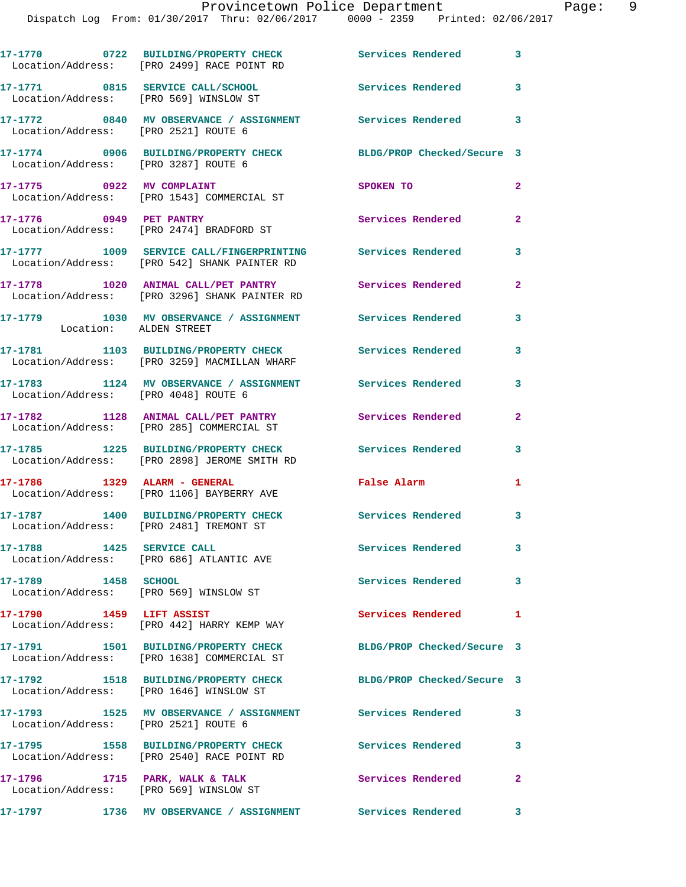| 17-1770 0722 BUILDING/PROPERTY CHECK Services Rendered 3<br>Location/Address: [PRO 2499] RACE POINT RD<br>17-1771 0815 SERVICE CALL/SCHOOL<br>Location/Address: [PRO 569] WINSLOW ST<br><b>Services Rendered</b><br>3<br>17-1772 0840 MV OBSERVANCE / ASSIGNMENT Services Rendered 3<br>Location/Address: [PRO 2521] ROUTE 6<br>17-1774 0906 BUILDING/PROPERTY CHECK<br>BLDG/PROP Checked/Secure 3<br>Location/Address: [PRO 3287] ROUTE 6<br>17-1775 0922 MV COMPLAINT<br>SPOKEN TO<br>Location/Address: [PRO 1543] COMMERCIAL ST<br>17-1776 0949 PET PANTRY<br>$\overline{2}$<br>Services Rendered<br>Location/Address: [PRO 2474] BRADFORD ST<br>17-1777 1009 SERVICE CALL/FINGERPRINTING Services Rendered<br>Location/Address: [PRO 542] SHANK PAINTER RD<br>17-1778 1020 ANIMAL CALL/PET PANTRY<br>Services Rendered<br>Location/Address: [PRO 3296] SHANK PAINTER RD<br>17-1779 1030 MV OBSERVANCE / ASSIGNMENT Services Rendered<br>Location: ALDEN STREET<br>17-1781 1103 BUILDING/PROPERTY CHECK Services Rendered<br>Location/Address: [PRO 3259] MACMILLAN WHARF<br>17-1783 1124 MV OBSERVANCE / ASSIGNMENT Services Rendered<br>Location/Address: [PRO 4048] ROUTE 6<br>17-1782 1128 ANIMAL CALL/PET PANTRY<br>Services Rendered<br>Location/Address: [PRO 285] COMMERCIAL ST<br>17-1785 1225 BUILDING/PROPERTY CHECK<br><b>Services Rendered</b><br>Location/Address: [PRO 2898] JEROME SMITH RD<br>17-1786    1329 ALARM - GENERAL<br>False Alarm<br>Location/Address: [PRO 1106] BAYBERRY AVE<br>17-1787 1400 BUILDING/PROPERTY CHECK<br>Services Rendered 3<br>Location/Address: [PRO 2481] TREMONT ST<br>17-1788 1425 SERVICE CALL<br>Services Rendered<br>Location/Address: [PRO 686] ATLANTIC AVE<br>17-1789 1458 SCHOOL<br><b>Services Rendered</b><br>Location/Address: [PRO 569] WINSLOW ST<br>17-1790 1459 LIFT ASSIST<br>Services Rendered<br>Location/Address: [PRO 442] HARRY KEMP WAY<br>17-1791 1501 BUILDING/PROPERTY CHECK<br>BLDG/PROP Checked/Secure 3<br>Location/Address: [PRO 1638] COMMERCIAL ST<br>17-1792 1518 BUILDING/PROPERTY CHECK<br>BLDG/PROP Checked/Secure 3<br>Location/Address: [PRO 1646] WINSLOW ST<br>17-1793 1525 MV OBSERVANCE / ASSIGNMENT Services Rendered<br>Location/Address: [PRO 2521] ROUTE 6<br>17-1795 1558 BUILDING/PROPERTY CHECK<br><b>Services Rendered</b><br>Location/Address: [PRO 2540] RACE POINT RD<br>17-1796 1715 PARK, WALK & TALK<br>Services Rendered<br>$\mathbf{2}$<br>Location/Address: [PRO 569] WINSLOW ST<br>Services Rendered<br>17-1797<br>1736 MV OBSERVANCE / ASSIGNMENT |  |                |
|-------------------------------------------------------------------------------------------------------------------------------------------------------------------------------------------------------------------------------------------------------------------------------------------------------------------------------------------------------------------------------------------------------------------------------------------------------------------------------------------------------------------------------------------------------------------------------------------------------------------------------------------------------------------------------------------------------------------------------------------------------------------------------------------------------------------------------------------------------------------------------------------------------------------------------------------------------------------------------------------------------------------------------------------------------------------------------------------------------------------------------------------------------------------------------------------------------------------------------------------------------------------------------------------------------------------------------------------------------------------------------------------------------------------------------------------------------------------------------------------------------------------------------------------------------------------------------------------------------------------------------------------------------------------------------------------------------------------------------------------------------------------------------------------------------------------------------------------------------------------------------------------------------------------------------------------------------------------------------------------------------------------------------------------------------------------------------------------------------------------------------------------------------------------------------------------------------------------------------------------------------------------------------------------------------------------------------------------------------------------------------------------------------------------------------------------------------------------------------------------------------------------------------------------------------------------|--|----------------|
|                                                                                                                                                                                                                                                                                                                                                                                                                                                                                                                                                                                                                                                                                                                                                                                                                                                                                                                                                                                                                                                                                                                                                                                                                                                                                                                                                                                                                                                                                                                                                                                                                                                                                                                                                                                                                                                                                                                                                                                                                                                                                                                                                                                                                                                                                                                                                                                                                                                                                                                                                                   |  |                |
|                                                                                                                                                                                                                                                                                                                                                                                                                                                                                                                                                                                                                                                                                                                                                                                                                                                                                                                                                                                                                                                                                                                                                                                                                                                                                                                                                                                                                                                                                                                                                                                                                                                                                                                                                                                                                                                                                                                                                                                                                                                                                                                                                                                                                                                                                                                                                                                                                                                                                                                                                                   |  |                |
|                                                                                                                                                                                                                                                                                                                                                                                                                                                                                                                                                                                                                                                                                                                                                                                                                                                                                                                                                                                                                                                                                                                                                                                                                                                                                                                                                                                                                                                                                                                                                                                                                                                                                                                                                                                                                                                                                                                                                                                                                                                                                                                                                                                                                                                                                                                                                                                                                                                                                                                                                                   |  |                |
|                                                                                                                                                                                                                                                                                                                                                                                                                                                                                                                                                                                                                                                                                                                                                                                                                                                                                                                                                                                                                                                                                                                                                                                                                                                                                                                                                                                                                                                                                                                                                                                                                                                                                                                                                                                                                                                                                                                                                                                                                                                                                                                                                                                                                                                                                                                                                                                                                                                                                                                                                                   |  |                |
|                                                                                                                                                                                                                                                                                                                                                                                                                                                                                                                                                                                                                                                                                                                                                                                                                                                                                                                                                                                                                                                                                                                                                                                                                                                                                                                                                                                                                                                                                                                                                                                                                                                                                                                                                                                                                                                                                                                                                                                                                                                                                                                                                                                                                                                                                                                                                                                                                                                                                                                                                                   |  | $\overline{2}$ |
|                                                                                                                                                                                                                                                                                                                                                                                                                                                                                                                                                                                                                                                                                                                                                                                                                                                                                                                                                                                                                                                                                                                                                                                                                                                                                                                                                                                                                                                                                                                                                                                                                                                                                                                                                                                                                                                                                                                                                                                                                                                                                                                                                                                                                                                                                                                                                                                                                                                                                                                                                                   |  |                |
|                                                                                                                                                                                                                                                                                                                                                                                                                                                                                                                                                                                                                                                                                                                                                                                                                                                                                                                                                                                                                                                                                                                                                                                                                                                                                                                                                                                                                                                                                                                                                                                                                                                                                                                                                                                                                                                                                                                                                                                                                                                                                                                                                                                                                                                                                                                                                                                                                                                                                                                                                                   |  | 3              |
|                                                                                                                                                                                                                                                                                                                                                                                                                                                                                                                                                                                                                                                                                                                                                                                                                                                                                                                                                                                                                                                                                                                                                                                                                                                                                                                                                                                                                                                                                                                                                                                                                                                                                                                                                                                                                                                                                                                                                                                                                                                                                                                                                                                                                                                                                                                                                                                                                                                                                                                                                                   |  | $\overline{2}$ |
|                                                                                                                                                                                                                                                                                                                                                                                                                                                                                                                                                                                                                                                                                                                                                                                                                                                                                                                                                                                                                                                                                                                                                                                                                                                                                                                                                                                                                                                                                                                                                                                                                                                                                                                                                                                                                                                                                                                                                                                                                                                                                                                                                                                                                                                                                                                                                                                                                                                                                                                                                                   |  | 3              |
|                                                                                                                                                                                                                                                                                                                                                                                                                                                                                                                                                                                                                                                                                                                                                                                                                                                                                                                                                                                                                                                                                                                                                                                                                                                                                                                                                                                                                                                                                                                                                                                                                                                                                                                                                                                                                                                                                                                                                                                                                                                                                                                                                                                                                                                                                                                                                                                                                                                                                                                                                                   |  | 3              |
|                                                                                                                                                                                                                                                                                                                                                                                                                                                                                                                                                                                                                                                                                                                                                                                                                                                                                                                                                                                                                                                                                                                                                                                                                                                                                                                                                                                                                                                                                                                                                                                                                                                                                                                                                                                                                                                                                                                                                                                                                                                                                                                                                                                                                                                                                                                                                                                                                                                                                                                                                                   |  | 3              |
|                                                                                                                                                                                                                                                                                                                                                                                                                                                                                                                                                                                                                                                                                                                                                                                                                                                                                                                                                                                                                                                                                                                                                                                                                                                                                                                                                                                                                                                                                                                                                                                                                                                                                                                                                                                                                                                                                                                                                                                                                                                                                                                                                                                                                                                                                                                                                                                                                                                                                                                                                                   |  | $\overline{2}$ |
|                                                                                                                                                                                                                                                                                                                                                                                                                                                                                                                                                                                                                                                                                                                                                                                                                                                                                                                                                                                                                                                                                                                                                                                                                                                                                                                                                                                                                                                                                                                                                                                                                                                                                                                                                                                                                                                                                                                                                                                                                                                                                                                                                                                                                                                                                                                                                                                                                                                                                                                                                                   |  | 3              |
|                                                                                                                                                                                                                                                                                                                                                                                                                                                                                                                                                                                                                                                                                                                                                                                                                                                                                                                                                                                                                                                                                                                                                                                                                                                                                                                                                                                                                                                                                                                                                                                                                                                                                                                                                                                                                                                                                                                                                                                                                                                                                                                                                                                                                                                                                                                                                                                                                                                                                                                                                                   |  | $\mathbf{1}$   |
|                                                                                                                                                                                                                                                                                                                                                                                                                                                                                                                                                                                                                                                                                                                                                                                                                                                                                                                                                                                                                                                                                                                                                                                                                                                                                                                                                                                                                                                                                                                                                                                                                                                                                                                                                                                                                                                                                                                                                                                                                                                                                                                                                                                                                                                                                                                                                                                                                                                                                                                                                                   |  |                |
|                                                                                                                                                                                                                                                                                                                                                                                                                                                                                                                                                                                                                                                                                                                                                                                                                                                                                                                                                                                                                                                                                                                                                                                                                                                                                                                                                                                                                                                                                                                                                                                                                                                                                                                                                                                                                                                                                                                                                                                                                                                                                                                                                                                                                                                                                                                                                                                                                                                                                                                                                                   |  | 3              |
|                                                                                                                                                                                                                                                                                                                                                                                                                                                                                                                                                                                                                                                                                                                                                                                                                                                                                                                                                                                                                                                                                                                                                                                                                                                                                                                                                                                                                                                                                                                                                                                                                                                                                                                                                                                                                                                                                                                                                                                                                                                                                                                                                                                                                                                                                                                                                                                                                                                                                                                                                                   |  | 3              |
|                                                                                                                                                                                                                                                                                                                                                                                                                                                                                                                                                                                                                                                                                                                                                                                                                                                                                                                                                                                                                                                                                                                                                                                                                                                                                                                                                                                                                                                                                                                                                                                                                                                                                                                                                                                                                                                                                                                                                                                                                                                                                                                                                                                                                                                                                                                                                                                                                                                                                                                                                                   |  | $\mathbf{1}$   |
|                                                                                                                                                                                                                                                                                                                                                                                                                                                                                                                                                                                                                                                                                                                                                                                                                                                                                                                                                                                                                                                                                                                                                                                                                                                                                                                                                                                                                                                                                                                                                                                                                                                                                                                                                                                                                                                                                                                                                                                                                                                                                                                                                                                                                                                                                                                                                                                                                                                                                                                                                                   |  |                |
|                                                                                                                                                                                                                                                                                                                                                                                                                                                                                                                                                                                                                                                                                                                                                                                                                                                                                                                                                                                                                                                                                                                                                                                                                                                                                                                                                                                                                                                                                                                                                                                                                                                                                                                                                                                                                                                                                                                                                                                                                                                                                                                                                                                                                                                                                                                                                                                                                                                                                                                                                                   |  |                |
|                                                                                                                                                                                                                                                                                                                                                                                                                                                                                                                                                                                                                                                                                                                                                                                                                                                                                                                                                                                                                                                                                                                                                                                                                                                                                                                                                                                                                                                                                                                                                                                                                                                                                                                                                                                                                                                                                                                                                                                                                                                                                                                                                                                                                                                                                                                                                                                                                                                                                                                                                                   |  | 3              |
|                                                                                                                                                                                                                                                                                                                                                                                                                                                                                                                                                                                                                                                                                                                                                                                                                                                                                                                                                                                                                                                                                                                                                                                                                                                                                                                                                                                                                                                                                                                                                                                                                                                                                                                                                                                                                                                                                                                                                                                                                                                                                                                                                                                                                                                                                                                                                                                                                                                                                                                                                                   |  | 3              |
|                                                                                                                                                                                                                                                                                                                                                                                                                                                                                                                                                                                                                                                                                                                                                                                                                                                                                                                                                                                                                                                                                                                                                                                                                                                                                                                                                                                                                                                                                                                                                                                                                                                                                                                                                                                                                                                                                                                                                                                                                                                                                                                                                                                                                                                                                                                                                                                                                                                                                                                                                                   |  |                |
|                                                                                                                                                                                                                                                                                                                                                                                                                                                                                                                                                                                                                                                                                                                                                                                                                                                                                                                                                                                                                                                                                                                                                                                                                                                                                                                                                                                                                                                                                                                                                                                                                                                                                                                                                                                                                                                                                                                                                                                                                                                                                                                                                                                                                                                                                                                                                                                                                                                                                                                                                                   |  | 3              |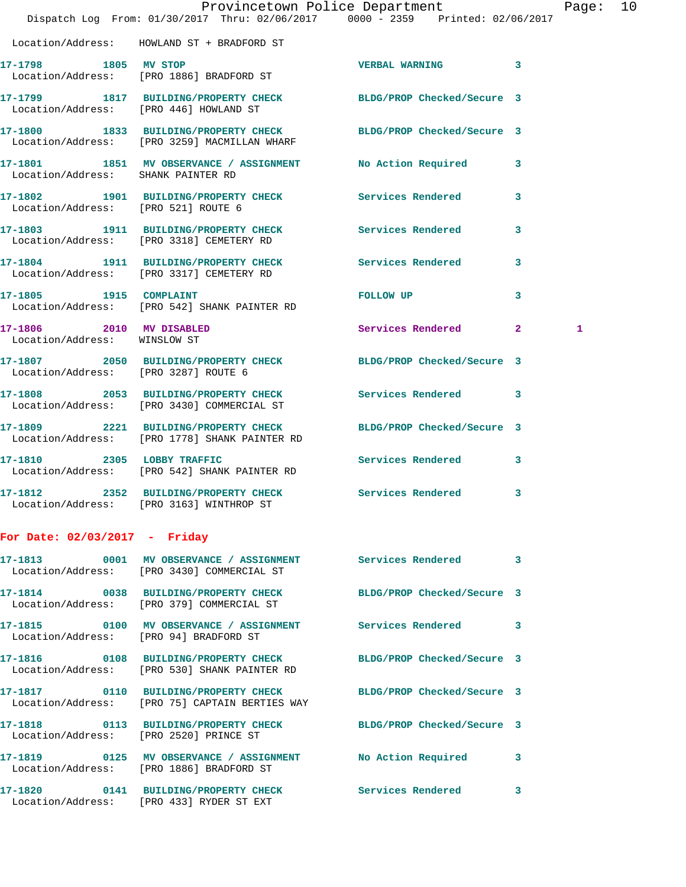|                                                          | Dispatch Log From: 01/30/2017 Thru: 02/06/2017 0000 - 2359 Printed: 02/06/2017                            | Provincetown Police Department                                                                                                                                                                                                |              | Page: 10 |  |
|----------------------------------------------------------|-----------------------------------------------------------------------------------------------------------|-------------------------------------------------------------------------------------------------------------------------------------------------------------------------------------------------------------------------------|--------------|----------|--|
|                                                          | Location/Address: HOWLAND ST + BRADFORD ST                                                                |                                                                                                                                                                                                                               |              |          |  |
| 17-1798 1805 MV STOP                                     | Location/Address: [PRO 1886] BRADFORD ST                                                                  | VERBAL WARNING 3                                                                                                                                                                                                              |              |          |  |
|                                                          | 17-1799 1817 BUILDING/PROPERTY CHECK BLDG/PROP Checked/Secure 3<br>Location/Address: [PRO 446] HOWLAND ST |                                                                                                                                                                                                                               |              |          |  |
|                                                          | 17-1800 1833 BUILDING/PROPERTY CHECK<br>Location/Address: [PRO 3259] MACMILLAN WHARF                      | BLDG/PROP Checked/Secure 3                                                                                                                                                                                                    |              |          |  |
| Location/Address: SHANK PAINTER RD                       | 17-1801 1851 MV OBSERVANCE / ASSIGNMENT No Action Required 3                                              |                                                                                                                                                                                                                               |              |          |  |
| Location/Address: [PRO 521] ROUTE 6                      | 17-1802 1901 BUILDING/PROPERTY CHECK Services Rendered 3                                                  |                                                                                                                                                                                                                               |              |          |  |
|                                                          | 17-1803 1911 BUILDING/PROPERTY CHECK Services Rendered 3<br>Location/Address: [PRO 3318] CEMETERY RD      |                                                                                                                                                                                                                               |              |          |  |
|                                                          | 17-1804 1911 BUILDING/PROPERTY CHECK Services Rendered<br>Location/Address: [PRO 3317] CEMETERY RD        |                                                                                                                                                                                                                               | 3            |          |  |
| 17-1805   1915   COMPLAINT                               | Location/Address: [PRO 542] SHANK PAINTER RD                                                              | FOLLOW UP AND THE STATE OF THE STATE OF THE STATE OF THE STATE OF THE STATE OF THE STATE OF THE STATE OF THE STATE OF THE STATE OF THE STATE OF THE STATE OF THE STATE OF THE STATE OF THE STATE OF THE STATE OF THE STATE OF | $\mathbf{3}$ |          |  |
| 17-1806 2010 MV DISABLED<br>Location/Address: WINSLOW ST |                                                                                                           | Services Rendered 2                                                                                                                                                                                                           | 1            |          |  |
|                                                          | 17-1807 2050 BUILDING/PROPERTY CHECK BLDG/PROP Checked/Secure 3<br>Location/Address: [PRO 3287] ROUTE 6   |                                                                                                                                                                                                                               |              |          |  |
|                                                          | 17-1808 2053 BUILDING/PROPERTY CHECK Services Rendered 3<br>Location/Address: [PRO 3430] COMMERCIAL ST    |                                                                                                                                                                                                                               |              |          |  |
|                                                          | 17-1809 2221 BUILDING/PROPERTY CHECK<br>Location/Address: [PRO 1778] SHANK PAINTER RD                     | BLDG/PROP Checked/Secure 3                                                                                                                                                                                                    |              |          |  |
|                                                          | 17-1810 2305 LOBBY TRAFFIC<br>Location/Address: [PRO 542] SHANK PAINTER RD                                | Services Rendered 3                                                                                                                                                                                                           |              |          |  |
|                                                          | Location/Address: [PRO 3163] WINTHROP ST                                                                  |                                                                                                                                                                                                                               |              |          |  |
| For Date: $02/03/2017$ - Friday                          |                                                                                                           |                                                                                                                                                                                                                               |              |          |  |
|                                                          | 17-1813 6001 MV OBSERVANCE / ASSIGNMENT Services Rendered 3<br>Location/Address: [PRO 3430] COMMERCIAL ST |                                                                                                                                                                                                                               |              |          |  |
|                                                          | 17-1814 0038 BUILDING/PROPERTY CHECK<br>Location/Address: [PRO 379] COMMERCIAL ST                         | BLDG/PROP Checked/Secure 3                                                                                                                                                                                                    |              |          |  |
| Location/Address: [PRO 94] BRADFORD ST                   | 17-1815 0100 MV OBSERVANCE / ASSIGNMENT Services Rendered 3                                               |                                                                                                                                                                                                                               |              |          |  |
|                                                          | 17-1816 0108 BUILDING/PROPERTY CHECK<br>Location/Address: [PRO 530] SHANK PAINTER RD                      | BLDG/PROP Checked/Secure 3                                                                                                                                                                                                    |              |          |  |
|                                                          | 17-1817 0110 BUILDING/PROPERTY CHECK<br>Location/Address: [PRO 75] CAPTAIN BERTIES WAY                    | BLDG/PROP Checked/Secure 3                                                                                                                                                                                                    |              |          |  |

**17-1818 0113 BUILDING/PROPERTY CHECK BLDG/PROP Checked/Secure 3** 

Location/Address: [PRO 2520] PRINCE ST

**17-1819 0125 MV OBSERVANCE / ASSIGNMENT No Action Required 3**  Location/Address: [PRO 1886] BRADFORD ST

**17-1820 0141 BUILDING/PROPERTY CHECK Services Rendered 3**  Location/Address: [PRO 433] RYDER ST EXT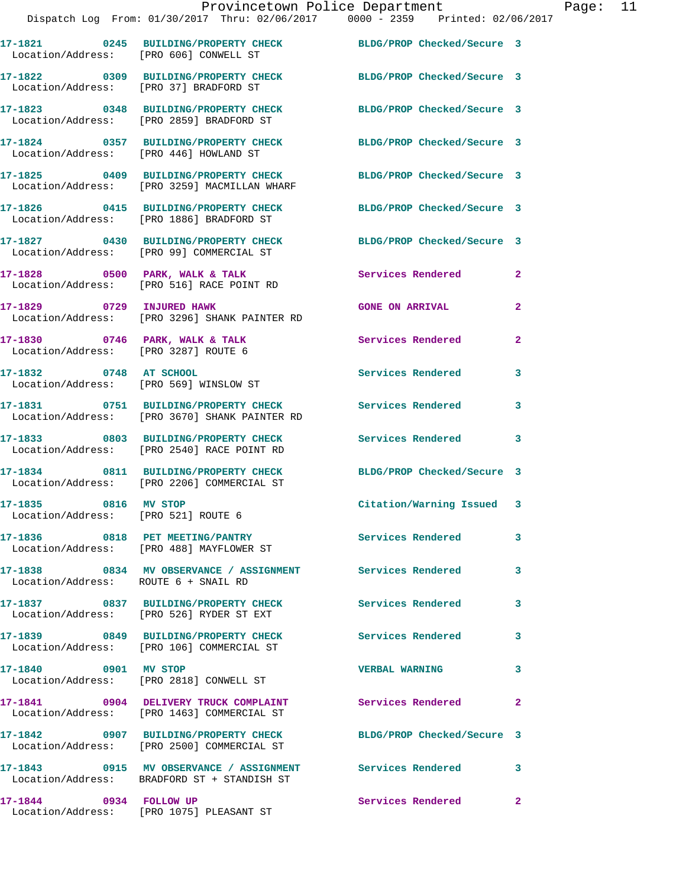|                                                             | Provincetown Police Department<br>Dispatch Log From: 01/30/2017 Thru: 02/06/2017 0000 - 2359 Printed: 02/06/2017 |                            |                         |
|-------------------------------------------------------------|------------------------------------------------------------------------------------------------------------------|----------------------------|-------------------------|
| Location/Address: [PRO 606] CONWELL ST                      | 17-1821 0245 BUILDING/PROPERTY CHECK BLDG/PROP Checked/Secure 3                                                  |                            |                         |
| Location/Address: [PRO 37] BRADFORD ST                      | 17-1822 0309 BUILDING/PROPERTY CHECK BLDG/PROP Checked/Secure 3                                                  |                            |                         |
|                                                             | 17-1823 0348 BUILDING/PROPERTY CHECK BLDG/PROP Checked/Secure 3<br>Location/Address: [PRO 2859] BRADFORD ST      |                            |                         |
| Location/Address: [PRO 446] HOWLAND ST                      | 17-1824 0357 BUILDING/PROPERTY CHECK BLDG/PROP Checked/Secure 3                                                  |                            |                         |
|                                                             | 17-1825 0409 BUILDING/PROPERTY CHECK<br>Location/Address: [PRO 3259] MACMILLAN WHARF                             | BLDG/PROP Checked/Secure 3 |                         |
|                                                             | 17-1826 0415 BUILDING/PROPERTY CHECK BLDG/PROP Checked/Secure 3<br>Location/Address: [PRO 1886] BRADFORD ST      |                            |                         |
|                                                             | 17-1827 0430 BUILDING/PROPERTY CHECK<br>Location/Address: [PRO 99] COMMERCIAL ST                                 | BLDG/PROP Checked/Secure 3 |                         |
|                                                             | 17-1828 0500 PARK, WALK & TALK<br>Location/Address: [PRO 516] RACE POINT RD                                      | Services Rendered          | $\mathbf{2}$            |
|                                                             | 17-1829 0729 INJURED HAWK<br>Location/Address: [PRO 3296] SHANK PAINTER RD                                       | <b>GONE ON ARRIVAL</b>     | $\overline{\mathbf{2}}$ |
| Location/Address: [PRO 3287] ROUTE 6                        | 17-1830 0746 PARK, WALK & TALK 1988 Services Rendered                                                            |                            | $\mathbf{2}$            |
| 17-1832 0748 AT SCHOOL                                      | Location/Address: [PRO 569] WINSLOW ST                                                                           | <b>Services Rendered</b>   | 3                       |
|                                                             | 17-1831 0751 BUILDING/PROPERTY CHECK Services Rendered<br>Location/Address: [PRO 3670] SHANK PAINTER RD          |                            | 3                       |
|                                                             | 17-1833 6803 BUILDING/PROPERTY CHECK Services Rendered<br>Location/Address: [PRO 2540] RACE POINT RD             |                            | 3                       |
|                                                             | 17-1834 0811 BUILDING/PROPERTY CHECK<br>Location/Address: [PRO 2206] COMMERCIAL ST                               | BLDG/PROP Checked/Secure 3 |                         |
| 17-1835 0816 MV STOP<br>Location/Address: [PRO 521] ROUTE 6 |                                                                                                                  | Citation/Warning Issued    |                         |
|                                                             | 17-1836 0818 PET MEETING/PANTRY<br>Location/Address: [PRO 488] MAYFLOWER ST                                      | Services Rendered          | 3                       |
| Location/Address: ROUTE 6 + SNAIL RD                        | 17-1838 6834 MV OBSERVANCE / ASSIGNMENT Services Rendered                                                        |                            | 3                       |
|                                                             | 17-1837 0837 BUILDING/PROPERTY CHECK<br>Location/Address: [PRO 526] RYDER ST EXT                                 | <b>Services Rendered</b>   | 3                       |
|                                                             | 17-1839 0849 BUILDING/PROPERTY CHECK<br>Location/Address: [PRO 106] COMMERCIAL ST                                | <b>Services Rendered</b>   | 3                       |
| 17-1840 0901 MV STOP                                        | Location/Address: [PRO 2818] CONWELL ST                                                                          | <b>VERBAL WARNING</b>      | 3                       |
|                                                             | 17-1841 0904 DELIVERY TRUCK COMPLAINT<br>Location/Address: [PRO 1463] COMMERCIAL ST                              | Services Rendered          | $\mathbf{2}$            |
|                                                             | 17-1842 0907 BUILDING/PROPERTY CHECK BLDG/PROP Checked/Secure 3<br>Location/Address: [PRO 2500] COMMERCIAL ST    |                            |                         |
|                                                             | 17-1843  0915 MV OBSERVANCE / ASSIGNMENT Services Rendered<br>Location/Address: BRADFORD ST + STANDISH ST        |                            | 3                       |

**17-1844 0934 FOLLOW UP Services Rendered 2** 

Location/Address: [PRO 1075] PLEASANT ST

Page:  $11$ <br> $17$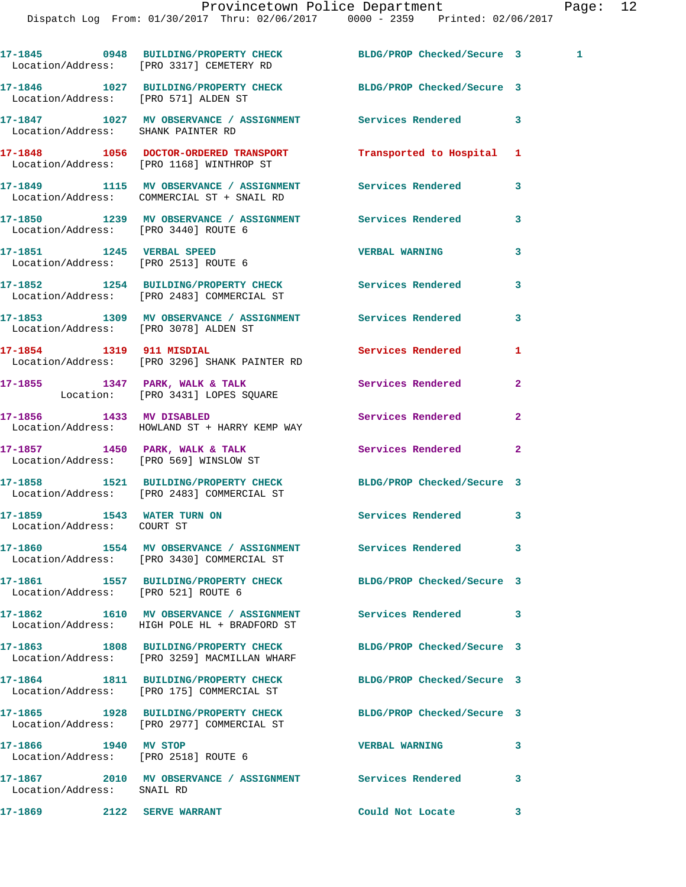|                                                                   | 17-1845 0948 BUILDING/PROPERTY CHECK BLDG/PROP Checked/Secure 3<br>Location/Address: [PRO 3317] CEMETERY RD   |                            |                |  |
|-------------------------------------------------------------------|---------------------------------------------------------------------------------------------------------------|----------------------------|----------------|--|
| Location/Address: [PRO 571] ALDEN ST                              | 17-1846 1027 BUILDING/PROPERTY CHECK BLDG/PROP Checked/Secure 3                                               |                            |                |  |
| Location/Address: SHANK PAINTER RD                                | 17-1847 1027 MV OBSERVANCE / ASSIGNMENT Services Rendered                                                     |                            | 3              |  |
|                                                                   | 17-1848 1056 DOCTOR-ORDERED TRANSPORT<br>Location/Address: [PRO 1168] WINTHROP ST                             | Transported to Hospital 1  |                |  |
|                                                                   | 17-1849 1115 MV OBSERVANCE / ASSIGNMENT Services Rendered<br>Location/Address: COMMERCIAL ST + SNAIL RD       |                            | 3              |  |
| Location/Address: [PRO 3440] ROUTE 6                              | 17-1850 1239 MV OBSERVANCE / ASSIGNMENT Services Rendered                                                     |                            | 3              |  |
| 17-1851 1245 VERBAL SPEED<br>Location/Address: [PRO 2513] ROUTE 6 |                                                                                                               | <b>VERBAL WARNING</b>      | 3              |  |
|                                                                   | 17-1852 1254 BUILDING/PROPERTY CHECK Services Rendered<br>Location/Address: [PRO 2483] COMMERCIAL ST          |                            | 3              |  |
|                                                                   | 17-1853 1309 MV OBSERVANCE / ASSIGNMENT Services Rendered<br>Location/Address: [PRO 3078] ALDEN ST            |                            | 3              |  |
| 17-1854 1319 911 MISDIAL                                          | Location/Address: [PRO 3296] SHANK PAINTER RD                                                                 | Services Rendered          | 1              |  |
|                                                                   | 17-1855 1347 PARK, WALK & TALK<br>Location: [PRO 3431] LOPES SQUARE                                           | Services Rendered          | $\overline{2}$ |  |
| 17-1856 1433 MV DISABLED                                          | Location/Address: HOWLAND ST + HARRY KEMP WAY                                                                 | Services Rendered          | $\mathbf{2}$   |  |
|                                                                   | 17-1857 1450 PARK, WALK & TALK<br>Location/Address: [PRO 569] WINSLOW ST                                      | <b>Services Rendered</b>   | $\mathbf{2}$   |  |
|                                                                   | 17-1858 1521 BUILDING/PROPERTY CHECK BLDG/PROP Checked/Secure 3<br>Location/Address: [PRO 2483] COMMERCIAL ST |                            |                |  |
| 17-1859 1543 WATER TURN ON<br>Location/Address: COURT ST          |                                                                                                               | Services Rendered          | 3              |  |
|                                                                   | 17-1860 1554 MV OBSERVANCE / ASSIGNMENT<br>Location/Address: [PRO 3430] COMMERCIAL ST                         | <b>Services Rendered</b>   | 3              |  |
| Location/Address: [PRO 521] ROUTE 6                               | 17-1861 1557 BUILDING/PROPERTY CHECK                                                                          | BLDG/PROP Checked/Secure 3 |                |  |
|                                                                   | 17-1862 1610 MV OBSERVANCE / ASSIGNMENT Services Rendered<br>Location/Address: HIGH POLE HL + BRADFORD ST     |                            | 3              |  |
|                                                                   | 17-1863 1808 BUILDING/PROPERTY CHECK<br>Location/Address: [PRO 3259] MACMILLAN WHARF                          | BLDG/PROP Checked/Secure 3 |                |  |
|                                                                   | 17-1864 1811 BUILDING/PROPERTY CHECK BLDG/PROP Checked/Secure 3<br>Location/Address: [PRO 175] COMMERCIAL ST  |                            |                |  |
|                                                                   | 17-1865 1928 BUILDING/PROPERTY CHECK BLDG/PROP Checked/Secure 3<br>Location/Address: [PRO 2977] COMMERCIAL ST |                            |                |  |
| 17-1866 1940 MV STOP<br>Location/Address: [PRO 2518] ROUTE 6      |                                                                                                               | <b>VERBAL WARNING</b>      | 3              |  |
| Location/Address: SNAIL RD                                        | 17-1867  2010 MV OBSERVANCE / ASSIGNMENT Services Rendered                                                    |                            | 3              |  |
| 17-1869 2122 SERVE WARRANT                                        |                                                                                                               | Could Not Locate           | 3              |  |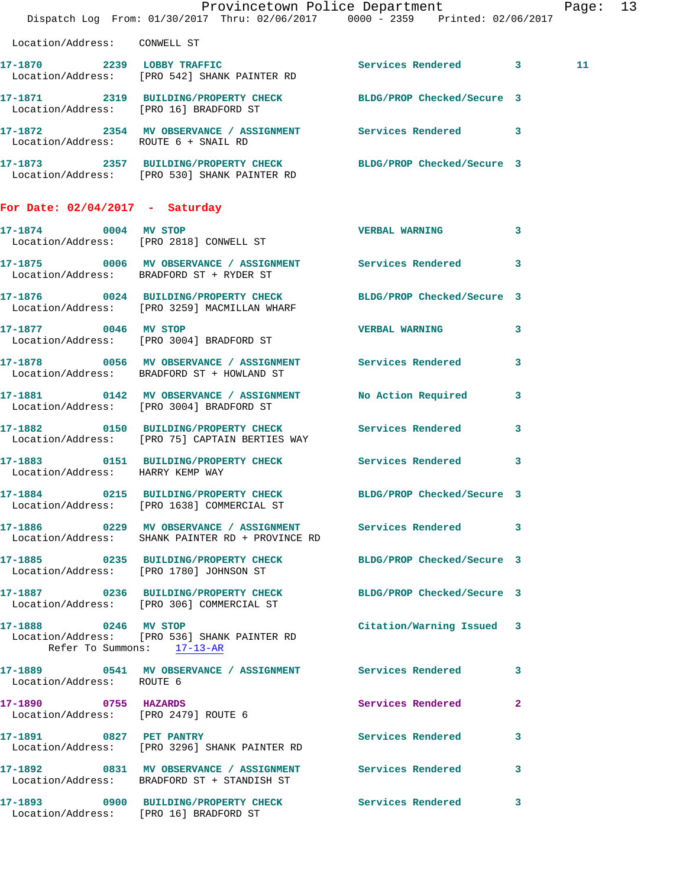|                                                              | Dispatch Log From: 01/30/2017 Thru: 02/06/2017 0000 - 2359 Printed: 02/06/2017                                   | Provincetown Police Department            | Page: 13 |  |
|--------------------------------------------------------------|------------------------------------------------------------------------------------------------------------------|-------------------------------------------|----------|--|
| Location/Address: CONWELL ST                                 |                                                                                                                  |                                           |          |  |
|                                                              | 17-1870 2239 LOBBY TRAFFIC<br>Location/Address: [PRO 542] SHANK PAINTER RD                                       | Services Rendered 3                       | 11       |  |
| Location/Address: [PRO 16] BRADFORD ST                       | 17-1871 2319 BUILDING/PROPERTY CHECK BLDG/PROP Checked/Secure 3                                                  |                                           |          |  |
| Location/Address: ROUTE 6 + SNAIL RD                         | 17-1872 2354 MV OBSERVANCE / ASSIGNMENT Services Rendered 3                                                      |                                           |          |  |
|                                                              | 17-1873 2357 BUILDING/PROPERTY CHECK BLDG/PROP Checked/Secure 3<br>Location/Address: [PRO 530] SHANK PAINTER RD  |                                           |          |  |
| For Date: $02/04/2017$ - Saturday                            |                                                                                                                  |                                           |          |  |
|                                                              | 17-1874 0004 MV STOP<br>Location/Address: [PRO 2818] CONWELL ST                                                  | VERBAL WARNING 3                          |          |  |
|                                                              | 17-1875 0006 MV OBSERVANCE / ASSIGNMENT Services Rendered 3<br>Location/Address: BRADFORD ST + RYDER ST          |                                           |          |  |
|                                                              | 17-1876 0024 BUILDING/PROPERTY CHECK BLDG/PROP Checked/Secure 3<br>Location/Address: [PRO 3259] MACMILLAN WHARF  |                                           |          |  |
| 17-1877 0046 MV STOP                                         | Location/Address: [PRO 3004] BRADFORD ST                                                                         | VERBAL WARNING 3                          |          |  |
|                                                              | 17-1878 0056 MV OBSERVANCE / ASSIGNMENT Services Rendered<br>Location/Address: BRADFORD ST + HOWLAND ST          | 3                                         |          |  |
|                                                              | 17-1881 0142 MV OBSERVANCE / ASSIGNMENT<br>Location/Address: [PRO 3004] BRADFORD ST                              | <b>No Action Required</b><br>$\mathbf{3}$ |          |  |
|                                                              | 17-1882 0150 BUILDING/PROPERTY CHECK Services Rendered<br>Location/Address: [PRO 75] CAPTAIN BERTIES WAY         | 3                                         |          |  |
| Location/Address: HARRY KEMP WAY                             | 17-1883 0151 BUILDING/PROPERTY CHECK Services Rendered 3                                                         |                                           |          |  |
|                                                              | 17-1884 0215 BUILDING/PROPERTY CHECK BLDG/PROP Checked/Secure 3<br>Location/Address: [PRO 1638] COMMERCIAL ST    |                                           |          |  |
|                                                              | 17-1886 60229 MV OBSERVANCE / ASSIGNMENT Services Rendered 3<br>Location/Address: SHANK PAINTER RD + PROVINCE RD |                                           |          |  |
|                                                              | 17-1885 0235 BUILDING/PROPERTY CHECK<br>Location/Address: [PRO 1780] JOHNSON ST                                  | BLDG/PROP Checked/Secure 3                |          |  |
|                                                              | 17-1887 0236 BUILDING/PROPERTY CHECK BLDG/PROP Checked/Secure 3<br>Location/Address: [PRO 306] COMMERCIAL ST     |                                           |          |  |
|                                                              | 17-1888 0246 MV STOP<br>Location/Address: [PRO 536] SHANK PAINTER RD<br>Refer To Summons: 17-13-AR               | Citation/Warning Issued 3                 |          |  |
| Location/Address: ROUTE 6                                    | 17-1889 0541 MV OBSERVANCE / ASSIGNMENT Services Rendered                                                        | 3                                         |          |  |
| 17-1890 0755 HAZARDS<br>Location/Address: [PRO 2479] ROUTE 6 |                                                                                                                  | Services Rendered<br>$\mathbf{2}$         |          |  |
| 17-1891 0827 PET PANTRY                                      | Location/Address: [PRO 3296] SHANK PAINTER RD                                                                    | Services Rendered 3                       |          |  |
|                                                              | 17-1892 0831 MV OBSERVANCE / ASSIGNMENT Services Rendered 3<br>Location/Address: BRADFORD ST + STANDISH ST       |                                           |          |  |
| Location/Address: [PRO 16] BRADFORD ST                       | 17-1893 0900 BUILDING/PROPERTY CHECK Services Rendered                                                           | $\mathbf{3}$                              |          |  |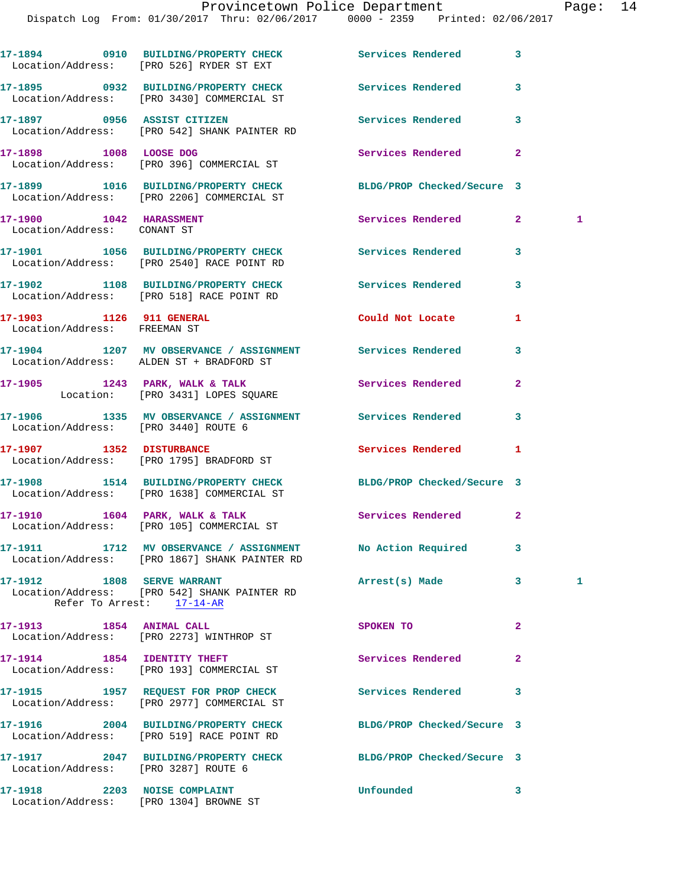Dispatch Log From: 01/30/2017 Thru: 02/06/2017 0000 - 2359 Printed: 02/06/2017

|                                                          | 17-1894 0910 BUILDING/PROPERTY CHECK Services Rendered<br>Location/Address: [PRO 526] RYDER ST EXT            |                            | 3              |              |
|----------------------------------------------------------|---------------------------------------------------------------------------------------------------------------|----------------------------|----------------|--------------|
|                                                          | 17-1895 0932 BUILDING/PROPERTY CHECK Services Rendered<br>Location/Address: [PRO 3430] COMMERCIAL ST          |                            | 3              |              |
|                                                          | 17-1897 0956 ASSIST CITIZEN<br>Location/Address: [PRO 542] SHANK PAINTER RD                                   | <b>Services Rendered</b>   | 3              |              |
|                                                          | 17-1898 1008 LOOSE DOG<br>Location/Address: [PRO 396] COMMERCIAL ST                                           | Services Rendered          | $\overline{a}$ |              |
|                                                          | 17-1899 1016 BUILDING/PROPERTY CHECK<br>Location/Address: [PRO 2206] COMMERCIAL ST                            | BLDG/PROP Checked/Secure 3 |                |              |
| 17-1900 1042 HARASSMENT<br>Location/Address: CONANT ST   |                                                                                                               | Services Rendered 2        |                | -1           |
|                                                          | 17-1901 1056 BUILDING/PROPERTY CHECK Services Rendered<br>Location/Address: [PRO 2540] RACE POINT RD          |                            | 3              |              |
|                                                          | 17-1902 1108 BUILDING/PROPERTY CHECK Services Rendered<br>Location/Address: [PRO 518] RACE POINT RD           |                            | 3              |              |
| 17-1903 1126 911 GENERAL<br>Location/Address: FREEMAN ST |                                                                                                               | Could Not Locate           | 1              |              |
|                                                          | 17-1904 1207 MV OBSERVANCE / ASSIGNMENT Services Rendered<br>Location/Address: ALDEN ST + BRADFORD ST         |                            | 3              |              |
|                                                          | 17-1905 1243 PARK, WALK & TALK<br>Location: [PRO 3431] LOPES SQUARE                                           | Services Rendered          | $\mathbf{2}$   |              |
|                                                          | 17-1906 1335 MV OBSERVANCE / ASSIGNMENT Services Rendered<br>Location/Address: [PRO 3440] ROUTE 6             |                            | 3              |              |
|                                                          | 17-1907 1352 DISTURBANCE<br>Location/Address: [PRO 1795] BRADFORD ST                                          | Services Rendered          | 1              |              |
|                                                          | 17-1908 1514 BUILDING/PROPERTY CHECK BLDG/PROP Checked/Secure 3<br>Location/Address: [PRO 1638] COMMERCIAL ST |                            |                |              |
|                                                          | 17-1910 1604 PARK, WALK & TALK<br>Location/Address: [PRO 105] COMMERCIAL ST                                   | Services Rendered          | $\mathbf{2}$   |              |
|                                                          | 17-1911 1712 MV OBSERVANCE / ASSIGNMENT<br>Location/Address: [PRO 1867] SHANK PAINTER RD                      | No Action Required         | 3              |              |
| 17-1912 1808 SERVE WARRANT                               | Location/Address: [PRO 542] SHANK PAINTER RD<br>Refer To Arrest: 17-14-AR                                     | Arrest(s) Made             | 3              | $\mathbf{1}$ |
|                                                          | 17-1913 1854 ANIMAL CALL<br>Location/Address: [PRO 2273] WINTHROP ST                                          | SPOKEN TO                  | 2              |              |
|                                                          | 17-1914 1854 IDENTITY THEFT<br>Location/Address: [PRO 193] COMMERCIAL ST                                      | Services Rendered          | $\mathbf{2}$   |              |
|                                                          | 17-1915 1957 REQUEST FOR PROP CHECK<br>Location/Address: [PRO 2977] COMMERCIAL ST                             | Services Rendered          | 3              |              |
|                                                          | 17-1916 2004 BUILDING/PROPERTY CHECK<br>Location/Address: [PRO 519] RACE POINT RD                             | BLDG/PROP Checked/Secure 3 |                |              |
| Location/Address: [PRO 3287] ROUTE 6                     | 17-1917 2047 BUILDING/PROPERTY CHECK                                                                          | BLDG/PROP Checked/Secure 3 |                |              |
| 17-1918 2203 NOISE COMPLAINT                             | Location/Address: [PRO 1304] BROWNE ST                                                                        | Unfounded                  | 3              |              |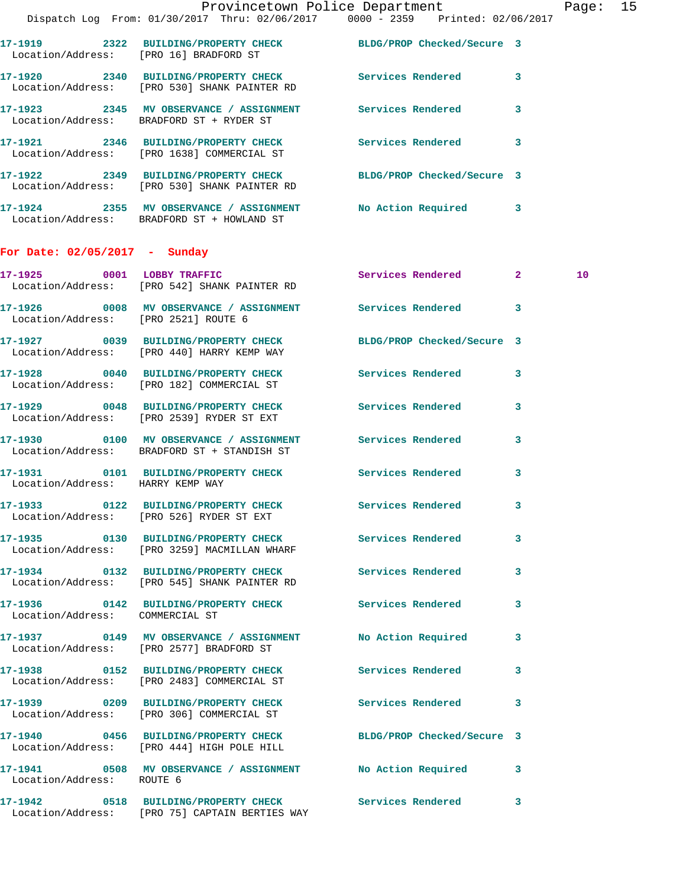|                                      | Provincetown Police Department The Page: 15<br>Dispatch Log From: 01/30/2017 Thru: 02/06/2017   0000 - 2359   Printed: 02/06/2017 |                     |              |    |  |
|--------------------------------------|-----------------------------------------------------------------------------------------------------------------------------------|---------------------|--------------|----|--|
|                                      | 17-1919 2322 BUILDING/PROPERTY CHECK BLDG/PROP Checked/Secure 3<br>Location/Address: [PRO 16] BRADFORD ST                         |                     |              |    |  |
|                                      | 17-1920 2340 BUILDING/PROPERTY CHECK Services Rendered 3<br>Location/Address: [PRO 530] SHANK PAINTER RD                          |                     |              |    |  |
|                                      | 17-1923 2345 MV OBSERVANCE / ASSIGNMENT Services Rendered<br>Location/Address: BRADFORD ST + RYDER ST                             |                     | $\mathbf{3}$ |    |  |
|                                      | 17-1921 2346 BUILDING/PROPERTY CHECK Services Rendered 3<br>Location/Address: [PRO 1638] COMMERCIAL ST                            |                     |              |    |  |
|                                      | 17-1922 2349 BUILDING/PROPERTY CHECK BLDG/PROP Checked/Secure 3<br>Location/Address: [PRO 530] SHANK PAINTER RD                   |                     |              |    |  |
|                                      | 17-1924 2355 MV OBSERVANCE / ASSIGNMENT No Action Required 3<br>Location/Address: BRADFORD ST + HOWLAND ST                        |                     |              |    |  |
| For Date: $02/05/2017$ - Sunday      |                                                                                                                                   |                     |              |    |  |
|                                      | 17-1925 0001 LOBBY TRAFFIC<br>Location/Address: [PRO 542] SHANK PAINTER RD                                                        | Services Rendered 2 |              | 10 |  |
| Location/Address: [PRO 2521] ROUTE 6 | 17-1926 6008 MV OBSERVANCE / ASSIGNMENT Services Rendered 3                                                                       |                     |              |    |  |
|                                      | 17-1927 0039 BUILDING/PROPERTY CHECK BLDG/PROP Checked/Secure 3<br>Location/Address: [PRO 440] HARRY KEMP WAY                     |                     |              |    |  |
|                                      | 17-1928 0040 BUILDING/PROPERTY CHECK Services Rendered 3<br>Location/Address: [PRO 182] COMMERCIAL ST                             |                     |              |    |  |
|                                      | 17-1929 0048 BUILDING/PROPERTY CHECK Services Rendered<br>Location/Address: [PRO 2539] RYDER ST EXT                               |                     | 3            |    |  |
|                                      | 17-1930 0100 MV OBSERVANCE / ASSIGNMENT Services Rendered 3<br>Location/Address: BRADFORD ST + STANDISH ST                        |                     |              |    |  |
| Location/Address: HARRY KEMP WAY     | 17-1931   0101 BUILDING/PROPERTY CHECK   Services Rendered                                                                        |                     | 3            |    |  |
|                                      | 17-1933 0122 BUILDING/PROPERTY CHECK<br>Location/Address: [PRO 526] RYDER ST EXT                                                  | Services Rendered 3 |              |    |  |
|                                      | 17-1935 		 0130 BUILDING/PROPERTY CHECK Services Rendered<br>Location/Address: [PRO 3259] MACMILLAN WHARF                         |                     | $\mathbf{3}$ |    |  |
|                                      | 17-1934 		 0132 BUILDING/PROPERTY CHECK Services Rendered<br>Location/Address: [PRO 545] SHANK PAINTER RD                         |                     | 3            |    |  |
| Location/Address: COMMERCIAL ST      | 17-1936  0142 BUILDING/PROPERTY CHECK Services Rendered                                                                           |                     | 3            |    |  |
|                                      | 17-1937   0149 MV OBSERVANCE / ASSIGNMENT   No Action Required<br>Location/Address: [PRO 2577] BRADFORD ST                        |                     | $\mathbf{3}$ |    |  |
|                                      | 17-1938 0152 BUILDING/PROPERTY CHECK Services Rendered<br>Location/Address: [PRO 2483] COMMERCIAL ST                              |                     | 3            |    |  |
|                                      | 17-1939 6209 BUILDING/PROPERTY CHECK Services Rendered 3<br>Location/Address: [PRO 306] COMMERCIAL ST                             |                     |              |    |  |
|                                      | 17-1940 0456 BUILDING/PROPERTY CHECK BLDG/PROP Checked/Secure 3<br>Location/Address: [PRO 444] HIGH POLE HILL                     |                     |              |    |  |
| Location/Address: ROUTE 6            | 17-1941 0508 MV OBSERVANCE / ASSIGNMENT No Action Required 3                                                                      |                     |              |    |  |
|                                      | 17-1942 0518 BUILDING/PROPERTY CHECK Services Rendered<br>Location/Address: [PRO 75] CAPTAIN BERTIES WAY                          |                     | 3            |    |  |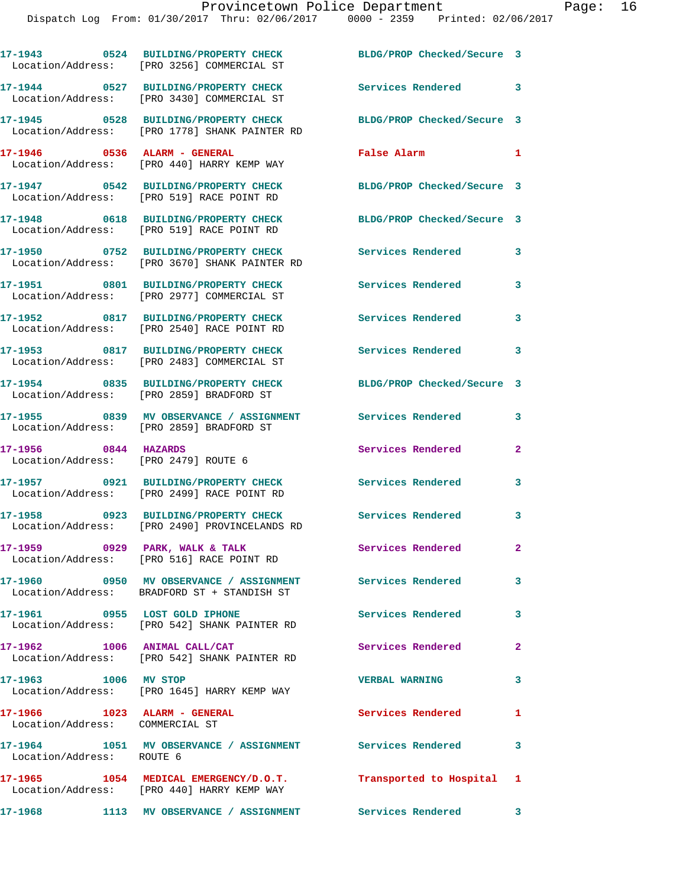**17-1943 0524 BUILDING/PROPERTY CHECK BLDG/PROP Checked/Secure 3** 

Location/Address: [PRO 3256] COMMERCIAL ST

**17-1944 0527 BUILDING/PROPERTY CHECK Services Rendered 3**  Location/Address: [PRO 3430] COMMERCIAL ST **17-1945 0528 BUILDING/PROPERTY CHECK BLDG/PROP Checked/Secure 3**  Location/Address: [PRO 1778] SHANK PAINTER RD **17-1946 0536 ALARM - GENERAL False Alarm 1**  Location/Address: [PRO 440] HARRY KEMP WAY **17-1947 0542 BUILDING/PROPERTY CHECK BLDG/PROP Checked/Secure 3**  Location/Address: [PRO 519] RACE POINT RD **17-1948 0618 BUILDING/PROPERTY CHECK BLDG/PROP Checked/Secure 3**  Location/Address: [PRO 519] RACE POINT RD **17-1950 0752 BUILDING/PROPERTY CHECK Services Rendered 3**  Location/Address: [PRO 3670] SHANK PAINTER RD **17-1951 0801 BUILDING/PROPERTY CHECK Services Rendered 3**  Location/Address: [PRO 2977] COMMERCIAL ST **17-1952 0817 BUILDING/PROPERTY CHECK Services Rendered 3**  Location/Address: [PRO 2540] RACE POINT RD **17-1953 0817 BUILDING/PROPERTY CHECK Services Rendered 3**  Location/Address: [PRO 2483] COMMERCIAL ST **17-1954 0835 BUILDING/PROPERTY CHECK BLDG/PROP Checked/Secure 3**  Location/Address: [PRO 2859] BRADFORD ST **17-1955 0839 MV OBSERVANCE / ASSIGNMENT Services Rendered 3**  Location/Address: [PRO 2859] BRADFORD ST **17-1956 0844 HAZARDS Services Rendered 2**  Location/Address: [PRO 2479] ROUTE 6 **17-1957 0921 BUILDING/PROPERTY CHECK Services Rendered 3**  Location/Address: [PRO 2499] RACE POINT RD **17-1958 0923 BUILDING/PROPERTY CHECK Services Rendered 3**  Location/Address: [PRO 2490] PROVINCELANDS RD **17-1959 0929 PARK, WALK & TALK Services Rendered 2**  Location/Address: [PRO 516] RACE POINT RD **17-1960 0950 MV OBSERVANCE / ASSIGNMENT Services Rendered 3**  Location/Address: BRADFORD ST + STANDISH ST **17-1961 0955 LOST GOLD IPHONE Services Rendered 3**  Location/Address: [PRO 542] SHANK PAINTER RD **17-1962 1006 ANIMAL CALL/CAT Services Rendered 2**  Location/Address: [PRO 542] SHANK PAINTER RD **17-1963 1006 MV STOP VERBAL WARNING 3**  Location/Address: [PRO 1645] HARRY KEMP WAY **17-1966 1023 ALARM - GENERAL Services Rendered 1**  Location/Address: COMMERCIAL ST **17-1964 1051 MV OBSERVANCE / ASSIGNMENT Services Rendered 3**  Location/Address: ROUTE 6 **17-1965 1054 MEDICAL EMERGENCY/D.O.T. Transported to Hospital 1**  Location/Address: [PRO 440] HARRY KEMP WAY **17-1968 1113 MV OBSERVANCE / ASSIGNMENT Services Rendered 3**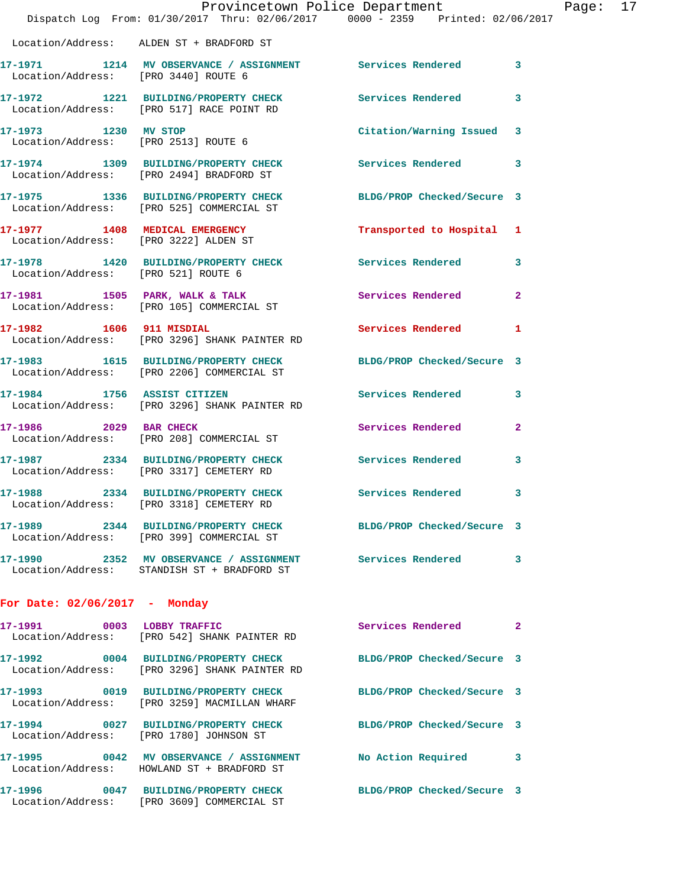|                                      | Dispatch Log From: 01/30/2017 Thru: 02/06/2017 0000 - 2359 Printed: 02/06/2017                                   | Provincetown Police Department |              | Page: 17 |
|--------------------------------------|------------------------------------------------------------------------------------------------------------------|--------------------------------|--------------|----------|
|                                      | Location/Address: ALDEN ST + BRADFORD ST                                                                         |                                |              |          |
| Location/Address: [PRO 3440] ROUTE 6 | 17-1971 1214 MV OBSERVANCE / ASSIGNMENT Services Rendered 3                                                      |                                |              |          |
|                                      | 17-1972 1221 BUILDING/PROPERTY CHECK Services Rendered 3<br>Location/Address: [PRO 517] RACE POINT RD            |                                |              |          |
|                                      | 17-1973 1230 MV STOP<br>Location/Address: [PRO 2513] ROUTE 6                                                     | Citation/Warning Issued 3      |              |          |
|                                      | 17-1974 1309 BUILDING/PROPERTY CHECK Services Rendered 3<br>Location/Address: [PRO 2494] BRADFORD ST             |                                |              |          |
|                                      | 17-1975 1336 BUILDING/PROPERTY CHECK BLDG/PROP Checked/Secure 3<br>Location/Address: [PRO 525] COMMERCIAL ST     |                                |              |          |
|                                      | 17-1977 1408 MEDICAL EMERGENCY<br>Location/Address: [PRO 3222] ALDEN ST                                          | Transported to Hospital 1      |              |          |
|                                      | 17-1978   1420 BUILDING/PROPERTY CHECK   Services Rendered   3<br>Location/Address: [PRO 521] ROUTE 6            |                                |              |          |
|                                      | 17-1981 1505 PARK, WALK & TALK<br>Location/Address: [PRO 105] COMMERCIAL ST                                      | Services Rendered              | $\mathbf{2}$ |          |
|                                      | 17-1982 1606 911 MISDIAL<br>Location/Address: [PRO 3296] SHANK PAINTER RD                                        | Services Rendered 1            |              |          |
|                                      | 17-1983 1615 BUILDING/PROPERTY CHECK BLDG/PROP Checked/Secure 3<br>Location/Address: [PRO 2206] COMMERCIAL ST    |                                |              |          |
|                                      | 17-1984 1756 ASSIST CITIZEN<br>Location/Address: [PRO 3296] SHANK PAINTER RD                                     | Services Rendered 3            |              |          |
|                                      | 17-1986 2029 BAR CHECK<br>Location/Address: [PRO 208] COMMERCIAL ST                                              | Services Rendered              | $\mathbf{2}$ |          |
|                                      | 17-1987 2334 BUILDING/PROPERTY CHECK Services Rendered 3<br>Location/Address: [PRO 3317] CEMETERY RD             |                                |              |          |
| 17-1988                              | 2334 BUILDING/PROPERTY CHECK<br>Location/Address: [PRO 3318] CEMETERY RD                                         | Services Rendered              | 3            |          |
|                                      | 17-1989 2344 BUILDING/PROPERTY CHECK BLDG/PROP Checked/Secure 3<br>Location/Address: [PRO 399] COMMERCIAL ST     |                                |              |          |
|                                      | 17-1990 2352 MV OBSERVANCE / ASSIGNMENT Services Rendered 3<br>Location/Address: STANDISH ST + BRADFORD ST       |                                |              |          |
| For Date: $02/06/2017$ - Monday      |                                                                                                                  |                                |              |          |
|                                      | 17-1991 0003 LOBBY TRAFFIC<br>Location/Address: [PRO 542] SHANK PAINTER RD                                       | Services Rendered 2            |              |          |
|                                      | 17-1992 0004 BUILDING/PROPERTY CHECK BLDG/PROP Checked/Secure 3<br>Location/Address: [PRO 3296] SHANK PAINTER RD |                                |              |          |
|                                      | 17-1993 0019 BUILDING/PROPERTY CHECK BLDG/PROP Checked/Secure 3<br>Location/Address: [PRO 3259] MACMILLAN WHARF  |                                |              |          |
|                                      | 17-1994 0027 BUILDING/PROPERTY CHECK BLDG/PROP Checked/Secure 3<br>Location/Address: [PRO 1780] JOHNSON ST       |                                |              |          |
|                                      | 17-1995 0042 MV OBSERVANCE / ASSIGNMENT No Action Required 3<br>Location/Address: HOWLAND ST + BRADFORD ST       |                                |              |          |
|                                      | 17-1996       0047  BUILDING/PROPERTY CHECK       BLDG/PROP Checked/Secure 3                                     |                                |              |          |

Location/Address: [PRO 3609] COMMERCIAL ST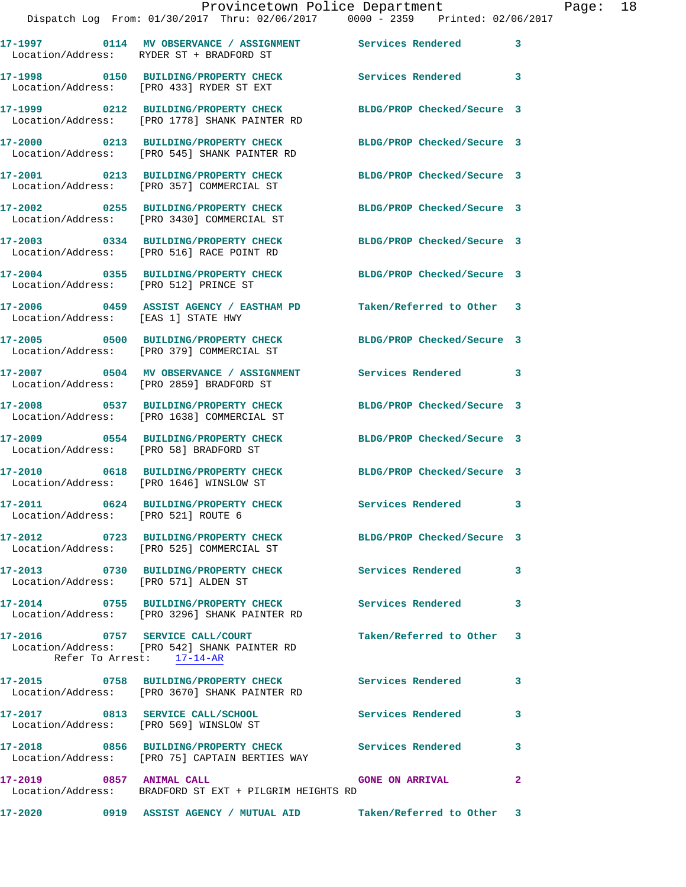|                                       | 17-1997 0114 MV OBSERVANCE / ASSIGNMENT Services Rendered 3<br>Location/Address: RYDER ST + BRADFORD ST |                            |                         |
|---------------------------------------|---------------------------------------------------------------------------------------------------------|----------------------------|-------------------------|
|                                       | 17-1998 0150 BUILDING/PROPERTY CHECK<br>Location/Address: [PRO 433] RYDER ST EXT                        | Services Rendered          | 3                       |
|                                       | 17-1999 0212 BUILDING/PROPERTY CHECK<br>Location/Address: [PRO 1778] SHANK PAINTER RD                   | BLDG/PROP Checked/Secure 3 |                         |
| Location/Address:                     | 17-2000 0213 BUILDING/PROPERTY CHECK<br>[PRO 545] SHANK PAINTER RD                                      | BLDG/PROP Checked/Secure 3 |                         |
|                                       | 17-2001 0213 BUILDING/PROPERTY CHECK<br>Location/Address: [PRO 357] COMMERCIAL ST                       | BLDG/PROP Checked/Secure 3 |                         |
|                                       | 17-2002 0255 BUILDING/PROPERTY CHECK<br>Location/Address: [PRO 3430] COMMERCIAL ST                      | BLDG/PROP Checked/Secure 3 |                         |
|                                       | 17-2003 0334 BUILDING/PROPERTY CHECK<br>Location/Address: [PRO 516] RACE POINT RD                       | BLDG/PROP Checked/Secure 3 |                         |
| Location/Address: [PRO 512] PRINCE ST | 17-2004 0355 BUILDING/PROPERTY CHECK                                                                    | BLDG/PROP Checked/Secure 3 |                         |
| Location/Address: [EAS 1] STATE HWY   | 17-2006 6459 ASSIST AGENCY / EASTHAM PD                                                                 | Taken/Referred to Other 3  |                         |
|                                       | 17-2005 0500 BUILDING/PROPERTY CHECK<br>Location/Address: [PRO 379] COMMERCIAL ST                       | BLDG/PROP Checked/Secure 3 |                         |
|                                       | 17-2007 0504 MV OBSERVANCE / ASSIGNMENT<br>Location/Address: [PRO 2859] BRADFORD ST                     | Services Rendered 3        |                         |
|                                       | 17-2008 0537 BUILDING/PROPERTY CHECK<br>Location/Address: [PRO 1638] COMMERCIAL ST                      | BLDG/PROP Checked/Secure 3 |                         |
| Location/Address:                     | 17-2009 0554 BUILDING/PROPERTY CHECK<br>[PRO 58] BRADFORD ST                                            | BLDG/PROP Checked/Secure 3 |                         |
|                                       | 17-2010 0618 BUILDING/PROPERTY CHECK<br>Location/Address: [PRO 1646] WINSLOW ST                         | BLDG/PROP Checked/Secure 3 |                         |
| Location/Address: [PRO 521] ROUTE 6   | 17-2011 0624 BUILDING/PROPERTY CHECK                                                                    | <b>Services Rendered</b>   | $\overline{\mathbf{3}}$ |
|                                       | 17-2012 0723 BUILDING/PROPERTY CHECK<br>Location/Address: [PRO 525] COMMERCIAL ST                       | BLDG/PROP Checked/Secure 3 |                         |
| Location/Address: [PRO 571] ALDEN ST  | 17-2013 0730 BUILDING/PROPERTY CHECK Services Rendered                                                  |                            | 3                       |
|                                       | 17-2014 0755 BUILDING/PROPERTY CHECK Services Rendered<br>Location/Address: [PRO 3296] SHANK PAINTER RD |                            | 3                       |
| 17-2016 0757 SERVICE CALL/COURT       | Location/Address: [PRO 542] SHANK PAINTER RD<br>Refer To Arrest: 17-14-AR                               | Taken/Referred to Other 3  |                         |
|                                       | 17-2015 0758 BUILDING/PROPERTY CHECK Services Rendered<br>Location/Address: [PRO 3670] SHANK PAINTER RD |                            | 3                       |
|                                       | 17-2017 0813 SERVICE CALL/SCHOOL<br>Location/Address: [PRO 569] WINSLOW ST                              | <b>Services Rendered</b>   | 3                       |
|                                       | 17-2018 0856 BUILDING/PROPERTY CHECK<br>Location/Address: [PRO 75] CAPTAIN BERTIES WAY                  | Services Rendered          | 3                       |
| 17-2019 0857 ANIMAL CALL              | Location/Address: BRADFORD ST EXT + PILGRIM HEIGHTS RD                                                  | <b>GONE ON ARRIVAL</b>     | $\mathbf{2}$            |
| <b>17-2020</b>                        |                                                                                                         |                            |                         |